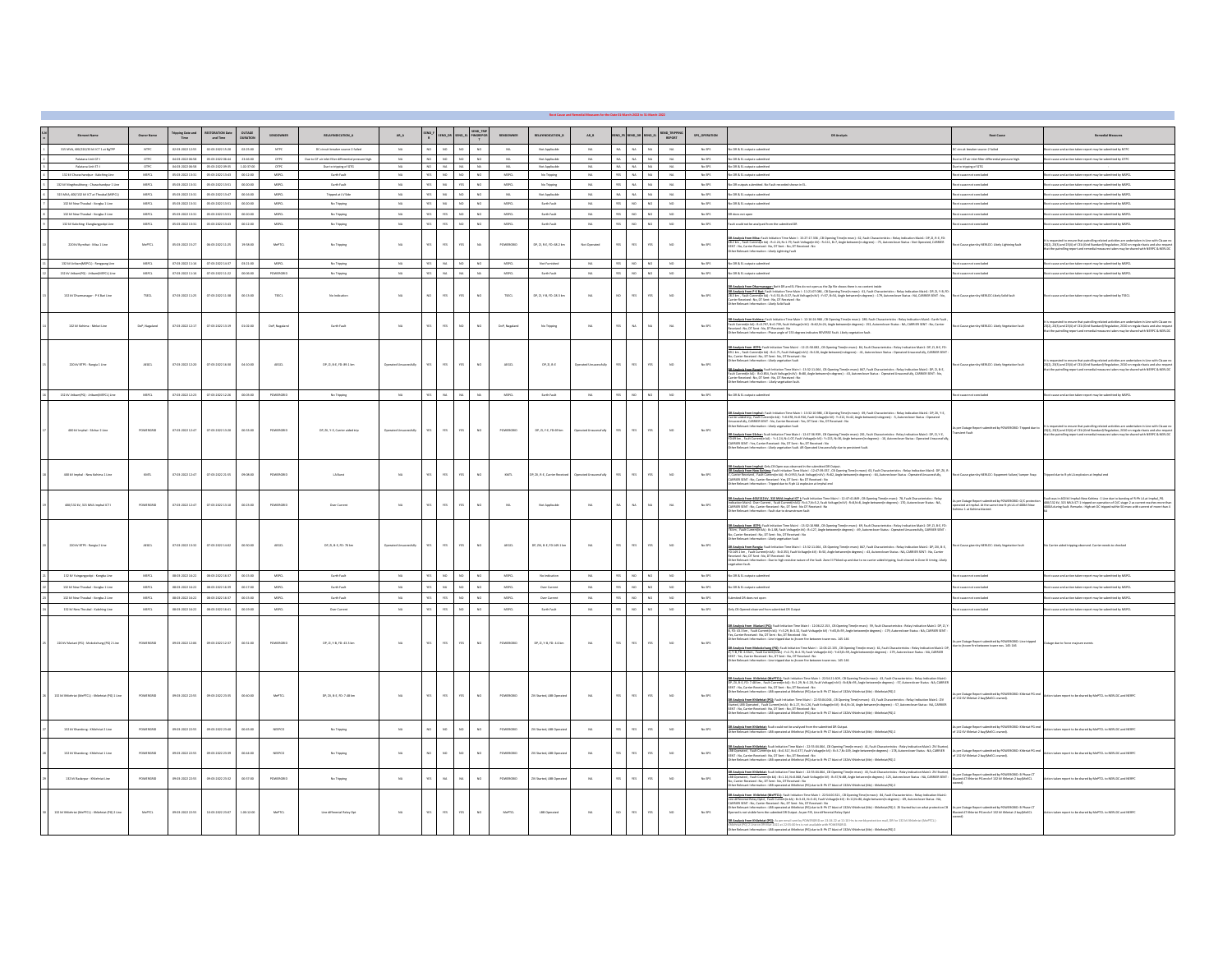|                                                            | Owner Name    | ripping Dute<br>Time | and Time                                                               |                      | SENDOWNE      | RELAYINDICATION_A                                      | <b>ARA</b>                    |                       | T                            |               | RELAYINDICATION B             | AR.B                 |                  |                         |                | <b>END_TRIPPI</b><br>REPORT | SPS_OPERATION    | <b>DR Analysis</b>                                                                                                                                                                                                                                                                                                                                                                                                                                                                                                                                                                                                                                                                                                                                                                                                                                                | <b>Root Cause</b>                                                                                                                                       |                                                                                                                                                                                                                                        |
|------------------------------------------------------------|---------------|----------------------|------------------------------------------------------------------------|----------------------|---------------|--------------------------------------------------------|-------------------------------|-----------------------|------------------------------|---------------|-------------------------------|----------------------|------------------|-------------------------|----------------|-----------------------------|------------------|-------------------------------------------------------------------------------------------------------------------------------------------------------------------------------------------------------------------------------------------------------------------------------------------------------------------------------------------------------------------------------------------------------------------------------------------------------------------------------------------------------------------------------------------------------------------------------------------------------------------------------------------------------------------------------------------------------------------------------------------------------------------------------------------------------------------------------------------------------------------|---------------------------------------------------------------------------------------------------------------------------------------------------------|----------------------------------------------------------------------------------------------------------------------------------------------------------------------------------------------------------------------------------------|
| 315 MWA, 400/220/33 KV KT 1 at RgTPP                       | <b>NTPC</b>   | 02-03-2022 12:55     | 02-03-2022 15:20                                                       | 022500               | <b>ATPC</b>   | DC circuit breaker source-2 failed                     | NA                            | NQ<br>NO              | $_{\text{NO}}$<br>NQ         | <b>NR</b>     | Not Applicable                | <b>NA</b>            | <b>NA</b>        | $\overline{\mathbf{M}}$ | <b>NA</b>      | <b>NA</b>                   | No.5PS           | bettimdus stupped a & & C ca                                                                                                                                                                                                                                                                                                                                                                                                                                                                                                                                                                                                                                                                                                                                                                                                                                      | ituit breaker source-2 failed                                                                                                                           | Root cause and action taken report may be submitted by NTPC                                                                                                                                                                            |
| Palatana Unit GT-I                                         | otec          |                      | 04-03-2022 06:58 05:03-2022 06:44                                      | 224600               | orpo          | Due to GT air inlet filter differential pressure high. | NA                            | NO NO                 | $NO$ $NO$                    | <b>NIL</b>    | Not Applicable                | NA                   |                  |                         | $NA$ $NA$ $NA$ | NA                          | No.5PS           | No DR & EL outputs submitted                                                                                                                                                                                                                                                                                                                                                                                                                                                                                                                                                                                                                                                                                                                                                                                                                                      | Due to GT air inlet fiber differential pressure high.                                                                                                   | Root cause and action taken report may be submitted by OTPC                                                                                                                                                                            |
| Palatana Unit ST-I<br>132 kV Churachandpur - Kakching Line | otro<br>MSPOL |                      | 04-03-2022 06:58 05:03-2022 09:35<br>05-03-2022 12:31 05:03-2022 12:43 | 1.02:37:00<br>021200 | orpo<br>MSPCL | Due to tripping of GTG<br><b>Carth Fault</b>           | NA<br>NA                      | NO NA                 | NA NA<br>VES NO NO NO        | NIL<br>MSPCL  | Not Applicable<br>No Tripping | NA.<br>NA.           | <b>NA</b><br>vec |                         | NA NA<br>NA NA | NA<br><b>NA</b>             | No SPS<br>No SPS | No DR & EL outputs submitted<br>No DR & EL outputs submitted                                                                                                                                                                                                                                                                                                                                                                                                                                                                                                                                                                                                                                                                                                                                                                                                      | Due to tripping of GTG<br>Root cause not concluded                                                                                                      | Root cause and action taken report may be submitted by MSPCs                                                                                                                                                                           |
| 132 kV Ninethoukhone - Churachandour 1 Line                | MPG.          | 05-03-2022 12:31     | 05-03-2022 12:51                                                       | 022000               | MRG           | <b>Garth Fault</b>                                     | NA                            | <b>YES</b><br>NU.     | yes.<br>NO                   | MPG.          | No Tripping                   | NA.                  | vec              | M                       | NA             | <b>NA</b>                   | No.95            | io DR cutputs submitted. No Fault recorded shown in EL                                                                                                                                                                                                                                                                                                                                                                                                                                                                                                                                                                                                                                                                                                                                                                                                            | oot cause not concluded                                                                                                                                 | Root cause and action taken report may be submitted by MSPCL                                                                                                                                                                           |
| 315 MVA 400/132 KV (CT at Thoubal (MSPCL)                  | MSPG.         | 05-03-2022 12:31     | 05-03-2022 12:47                                                       | 021600               | MSPCL         | Tripped at LV Side                                     | NA                            | $rac{1}{2}$<br>ALC:   | $^{10}$<br>$\sim$            | $_{\rm NL}$   | Not Applicable                | $\mathbf{M}$         | $\mathbf{a}$     | NA NA                   |                | <b>SOL</b>                  | No SPS           | o DR & EL outputs submitte                                                                                                                                                                                                                                                                                                                                                                                                                                                                                                                                                                                                                                                                                                                                                                                                                                        | at cause nat conclude                                                                                                                                   | Root cause and action taken report may be submitted by MSPC                                                                                                                                                                            |
| 132 KV New Thoubal - Kongba 1 Lin                          | MSPOL         | 05-03-2022 13:31     | 05-03-2022 13:51                                                       | 022000               | $_{\rm MSPL}$ | No Tripping                                            | NA                            | $rac{1}{2}$<br>NU.    | NQ<br>NQ                     | $_{\rm MSPL}$ | <b>Carth Fault</b>            | $_{\rm NA}$          | vec              | $NO$ $NO$               |                | NO                          | $_{\rm No}$ gas  | .<br>DR & EL outputs submitted                                                                                                                                                                                                                                                                                                                                                                                                                                                                                                                                                                                                                                                                                                                                                                                                                                    | oot cause not concluded                                                                                                                                 | Root cause and action taken report may be submitted by MSPC                                                                                                                                                                            |
| 132 kV New Thoubal - Kongba 2 Line                         | MSPOL         | 05-03-2022 12:3:     | 05-03-2022 13:50                                                       | 022000               | MSPG.         | No Tripping                                            | NA                            | vec                   | $NO$                         | MSPG.         |                               |                      |                  | $\mathbf{w}$            | NQ             |                             | No SPS           | loes not open                                                                                                                                                                                                                                                                                                                                                                                                                                                                                                                                                                                                                                                                                                                                                                                                                                                     | st cause not conclude                                                                                                                                   | Root cause and action taken report may be submitted by MSPCL                                                                                                                                                                           |
| 132 kV Kakching- Elangkangpokpi Line                       | MSPOL         | 05-03-2022 13:31     | 05-03-2022 13:43                                                       | 021200               | MSPCL         | No Tripping                                            | NA                            | YES<br>YES            | NO.                          | MSPG.         | Earth Fault                   | NA                   |                  | NO                      | NQ             | NO                          | No SPS           | ault could not be analysed from the submitted DR                                                                                                                                                                                                                                                                                                                                                                                                                                                                                                                                                                                                                                                                                                                                                                                                                  | Root cause not concluded                                                                                                                                | Root cause and action taken report may be submitted by MSPCL                                                                                                                                                                           |
|                                                            |               |                      |                                                                        |                      |               |                                                        |                               |                       |                              |               |                               |                      |                  |                         |                |                             |                  |                                                                                                                                                                                                                                                                                                                                                                                                                                                                                                                                                                                                                                                                                                                                                                                                                                                                   |                                                                                                                                                         |                                                                                                                                                                                                                                        |
| 220 kV Byrnhat - Misa 1 Line                               | MePTCL        | 05-03-2022 15:2      | 06-03-2022 11:25                                                       | 195800               | MePTCL        | No Tripping                                            | NA                            | ver                   | NA                           | POWERGRID     | 09.21.9-E.FD: 68.2 km         | Not Operated         |                  |                         |                | NO                          | No.95            | <mark>12 Aught (has Mar</mark> Ferikristins Tree Man) i 15:27:37 JH, C4 Opening Treejn must). E1, Fault Characterists : Reby Industrial Main L-DP, 31, PL, FD.<br>18:13 Im, Taat Commile Wij : Re 2.4, Int .: 75 Faul Voltage(n) : R=111, R=                                                                                                                                                                                                                                                                                                                                                                                                                                                                                                                                                                                                                      | Cause aiven by NERLDC: Likely Lightning fault                                                                                                           | It is requested to ensure that patrolling related activities are undertaken in Line with Clause no<br>20(2), 20(2) and 23(4) of CEA (Grid Standard) Regulation, 2000 on regular basis and also request<br>that the patrolling report   |
| 132 kV Jrban(MSPCL) - Rengpang Line                        | $_{\rm MSPL}$ |                      |                                                                        | 022100               | MSPCL         | No Tripping                                            | NA                            | YES<br>NA             | NO.<br>NO.                   | MSPCL         | Not Furnished                 | NA                   |                  |                         | $NO$ $NO$      | NO.                         | No SPS           | No DR & EL outputs submitted                                                                                                                                                                                                                                                                                                                                                                                                                                                                                                                                                                                                                                                                                                                                                                                                                                      | Root cause not concluded                                                                                                                                | Root cause and action taken report may be submitted by MSPCL                                                                                                                                                                           |
| 132 kV Jiribam(PG) - Jiribam(MSPCL) Line                   | MSPCL         | 03/03/2022 11:16     | 03/03/02/11:22                                                         | consen-              | printedam     | No Tripping                                            | <b>MA</b>                     | $rac{1}{2}$<br>$\sim$ | $_{\rm NA}$<br>$_{\rm tot}$  | MSPCL         | <b>Carth Fault</b>            | NA                   |                  | $\sim$                  | $-160$         | $\sim$                      | No SPS           | io DR & EL outputs submitted                                                                                                                                                                                                                                                                                                                                                                                                                                                                                                                                                                                                                                                                                                                                                                                                                                      | loot cause not concluded                                                                                                                                | Root cause and action taken report may be submitted by MSPCL                                                                                                                                                                           |
| 132 kV Dharmanagar - P K Bari Line                         | $_{\rm TSGC}$ | 07-03-2022 11:25     | 07-03-2022 11:38                                                       |                      | TSECL         | No Indication                                          | NA                            |                       | $_{\text{NO}}$               | TSECL         | DP, 21, Y-B, FD: 28.3 km      | $_{\rm NA}$          |                  |                         |                | $_{\text{NO}}$              | No SPS           | <mark>28 Anahri fora Barmanaga</mark> Evin Di sulti Film do otopa au te Zylfa Intent Parte in contest brûde.<br><mark>28 Anahris fora P K Bad:</mark> Fasil Holadon Time Main : 11:21:07.006 , Cii Opering Time(n met); di, Fasil Characterista : Alejy<br>Nust blick visit : nots                                                                                                                                                                                                                                                                                                                                                                                                                                                                                                                                                                                | .<br>Lause given by NERLDC 1. Awly Solid fault                                                                                                          |                                                                                                                                                                                                                                        |
| 132 kV Kohima - Meluri Line                                | DoP, Nagaland | 07-03-2022 12:17     | 07-03-2022 13:19                                                       | 01:02:00             | DoP, Nagaland | <b>Farm Fault</b>                                      | <b>MA</b>                     | yes.<br>$\mathbf{v}$  | so.                          | DoP, Nagaland | No Tripping                   | $\mathbf{M}$         |                  |                         |                | <b>NA</b>                   | No.95            | <mark>20 Analysi from Kablesz</mark> Fast Iolskicon Tree Main I : 12:16:24 668 , CA Opening Treefen mec): 280, Fast Characteristics i Main Indication Main I- Earth Fast),<br>Fast Curventin M.J.: 19:37:07, Pack Pack Vallage(in M): EnEJ)(<br>Relevant Information : Phase angle of 153 degrees indicates REVERSE Fault. Likely vegetation fault.                                                                                                                                                                                                                                                                                                                                                                                                                                                                                                               | st Cause given by NERLDC: Likely Vegetation fault                                                                                                       | It is requested to ensure that patrolling related activities are undertaken in Line with Clause no<br>23(2), 23(2) and 23(4) of CEA (Grid Standard) Regulation, 2000 on regular basis and also request<br>that the patrolling report   |
| 220 kV BTPS - Rangia 1 Line                                | ALCO.         | 07-03-2022 12:20     | 07-03-2022 16:30                                                       | 04:10:00             | ALCO.         | 09, 21, 8-4, FD: 89.1 km                               | <b>Operated Unsucessfully</b> | $_{\rm{WS}}$<br>YES   | $_{\text{NO}}$<br><b>ZIY</b> | At GCL        | 19, 2, 44                     | perated Unsucessfull |                  |                         |                | $10$                        | No SPS           | DR Analysis from 8795: Fault Initiation Time Main I: 12:21:50.082, CR Opening Time (in musc): SA, Fault Characteristics: Relay Indication Main1-09, 2, 8-E, FD:<br>1 km, Fault Current)n kAj : Bri.21, Fault Voltagefo Krj : Br120, Angle between in degrees] - 41, Automobiuer Status : Operated Unucerstuly, CARREN SENT<br>Carrier Resolved : No, OT Sent: No, OT Received : No<br>et Referant Infor<br><mark>28 Anand Inn: Bank</mark> r Fari Holden Tex Main : 123211.064 , CB Openig Treejn muc <u>!:</u> 847, Fast Characterists : Relay Industion Main I-09, 71, 8-4,<br>Fast Correction No. 107-856, Fast Voltage(n Nr) : Erikk Angle Mewerly degree(                                                                                                                                                                                                    | .<br>Lause given by NERLDC: Likely Vegetation fault                                                                                                     | It is requested to eroure that patrolling related activities are undertaken in Line with Clause no<br>23(2), 23(3) and 23(4) of CEA (Grid Standard) Regulation, 2000 on regular basis and also request<br>that the patrolling report   |
| 16<br>132 kV Jiribam(PG) - Jiribam(MSPCL) Line             | MSPCL         | 07-03-2022 12:23     | 07-03-2022 12:26                                                       | 020300               | POWERGRID     | No Tripping                                            | NA                            | YES<br>$-$ MA $-$     | N.A<br>NA                    | MSPCL         | <b>Carth Fault</b>            | <b>NA</b>            | ves              |                         | $NO$ $NO$      | $NO$                        | No SPS           | No DR & EL outputs submitted                                                                                                                                                                                                                                                                                                                                                                                                                                                                                                                                                                                                                                                                                                                                                                                                                                      | Root cause not concluded                                                                                                                                | Root cause and action taken report may be submitted by MSPCL                                                                                                                                                                           |
| 400 kv imphal - Sikhar 2 Line                              | POWERGRID     | 07-03-2022 12:47     | 07-03-2022 13:20                                                       | 023300               | POWERGRID     | DP, 2H, Y-E, Canter aided trip                         |                               | YES<br>YES            | NO.                          | POWERGRID     | 09, 21, Y-E, FD:69 km         |                      |                  |                         |                | NO                          | No SPS           | DR Analysis from Imphal: Fault Initiation Time Main I: 12:32:10.988 . CB Opening Timelin muscl: 69, Fault Characteristics : Relay Indication Main1- DP, 28, Y-E.<br>м мындалими надый у поктолого и потенит с на заложно, на чувещ попротивну му, мих сниженной , мену иношения по<br>Запис избейтер, Fault Currentin Ma) утей DR, Neb16, Fault Voltage(p.W) , Yr212, N=02, Angle between(in degrees<br>Ásahabána (Bána: Feli nitúrius Tera Mein i 13:23:450). (A Operig Tranjo mez) 26. Fan Chenderála: Taiyi Islanton Maini. 69.71. K.<br>160km, East Commijn Mij Yrst Al Iye 107. Fan Yokkyajo Kr) 17:25; Nr3L Anghletens (Repres) - 1                                                                                                                                                                                                                         | s per Outage Report subr<br>ransient Fault                                                                                                              | It is requested to ensure that patrolling related activities are undertaken in Line with Clause no<br>23(2), 23(3) and 23(4) of CEA (Grid Standard) Regulation, 2000 on regular basis and also reques<br>that the patrolling report    |
| 400 kV imphal - New Kohima 1 Line                          | <b>IMTL</b>   | 07-03-2022 12:4      | 07-03-2022 21:55                                                       | 09:08:00             | POWERGRID     | LABant                                                 | NA                            | YES                   | $_{\text{NO}}$               | xwn.          | , 21, R-E, Carrier Rece       |                      |                  |                         |                | $_{\text{NO}}$              | No SPS           | <mark>28 Andred from Imabal</mark> Crity Cli Open was observed in the submitted DD Curgue.<br><mark>28 Andreds from New Eddam</mark> : Carl Hosten Tree Wales 1, 24-27-842-7, Cli Open El <sup>2</sup> Treefe marc): El <sub>a</sub> And Characteristics : Relay indication M                                                                                                                                                                                                                                                                                                                                                                                                                                                                                                                                                                                     | oot Cause given by NERLDC: Equpment failure/ Jumper Snap                                                                                                | Tripped due to R-ph LA explosion at imphal end                                                                                                                                                                                         |
| 400/1223V 215 MVA Impound ICT L                            | envencen      | 07-03-2022 12:47     | 07-03-2022 13:10                                                       | 022200               | POWERGRID     | Over Current                                           | <b>MA</b>                     | YES<br>ver.           | NO.<br><b>YES</b>            | <b>ALL</b>    | Not Applicable                | NA.                  | $\overline{M}$   | $\overline{M}$          |                | <b>NA</b>                   | No.95            | <mark>28 Andreis from 400/1211V. 215 MWA ImphaliSTE</mark> : Faultiotistics: Time Maini : 12×87-XL 849 , CB Opening Tranțin ma<br>Indication Mini-Cour Carres, Fault Coured(In M): Red. St. Fault Vetage(in W) : Roll/vil, Angle between[n di<br>r Relevant Information : Fault due to downstream fault                                                                                                                                                                                                                                                                                                                                                                                                                                                                                                                                                           | As per Outage Report submitted by POWERGRID: Q/C protection<br>operated at imphal. At the same time R-ph LA of 400KV New<br>Kohima-1 at Kohima blasted. | .<br>Fault was in 400 kV imphal-New Kohima -1 Line due to bunting of R-Ph LA at Imphal_PG.<br>403/1122 kV, 215 MWA ICT-1 tripped on operation of O/C stage-2 as current reaches more than<br>4000A during fault. Remarks : High set OC |
| 220 kV BTPS - Rangia 2 Line                                | ALGOL.        | 07-03-2022 12:32     | 07-03-2022 14:02                                                       | 023000               | ADGO.         | 0P, 21, 8-E, FD: 76 km                                 | Operated Unsucessfully        | YES                   | NQ                           | ALGO.         | 09, 211, 8-6, FD:149.1 kr     | <b>NA</b>            |                  |                         |                | NO                          | No SPS           | Adabal basa AITS; Funktionsen Tree Main i 13/31:1088. CB Opening Treefe meet; 48. Funk Characteristics: Relay Indication Main): 09. 2, B.C. FC:<br>Lte, Taub Camerdia M.; iB=1.81, Funk Vokage(m.N.): 8=127, Angle between(ix deg<br><mark>10 Aught (han Bagi</mark> t Fail inizian Tre Main I 1332111044, CB Openig Treativener) 847, Fail Characterists: Relay Industrio Main I-00, 28, 8-4,<br>1034813 km, Diaf Camerija M.) : In D351 And Voltage IV Vi JPSA Angle Movement) -<br>Such roots                                                                                                                                                                                                                                                                                                                                                                  | Cause given by NERLDC: Likely Vegetation fault                                                                                                          | Carrier aided tripping observed. Carrier needs to checked                                                                                                                                                                              |
| 132 kV Yaingangpokpi - Kongba Line                         | MSPCL         | 08-03-2022 16:22     | 08-03-2022 16:37                                                       | 021500               | MSPCL         | <b>Carth Fault</b>                                     | NA                            | $_{\text{NO}}$        | $^{10}$<br>$_{\text{NO}}$    | MSPCL         | No Indication                 | <b>NA</b>            |                  |                         | $NO$ $NO$      | $_{\text{NO}}$              | No SPS           | bettimdus stuppes J3 & RD                                                                                                                                                                                                                                                                                                                                                                                                                                                                                                                                                                                                                                                                                                                                                                                                                                         | t cause not concluded                                                                                                                                   | oot cause and action taken report may be submitted by MSPCL                                                                                                                                                                            |
| 132 kV New Thoubal - Kongba 1 Line                         | MSPOL         | 08-03-2022 16:23     | 08-03-2022 16:39                                                       | 001200               | $MSPCL$       | farth Fault                                            | NA                            | $_{\rm NU}$<br>yes.   | NO.<br>NQ                    | MSPG.         | Over Current                  | <b>NA</b>            |                  | $^{10}$                 | NQ             | NQ                          | No SPS           | DR & EL outputs submitted                                                                                                                                                                                                                                                                                                                                                                                                                                                                                                                                                                                                                                                                                                                                                                                                                                         | st cause not concluded                                                                                                                                  | pot cause and action taken report may be submitted by MSPC                                                                                                                                                                             |
| 132 KV New Thoubal - Kongba 2 Line                         | MSPOL         | 08-03-2022 16:23     | 08-03-2022 16:37                                                       |                      | MSPCL         | <b>Carth Fault</b>                                     | NA                            |                       | $_{\text{NO}}$               | MSPG.         | Over Current                  | $_{\rm NA}$          |                  | $\omega$                | $_{\rm NO}$    | $10$                        | No SPS           | ted DR does not open                                                                                                                                                                                                                                                                                                                                                                                                                                                                                                                                                                                                                                                                                                                                                                                                                                              | t cause not concluded                                                                                                                                   | oot cause and action taken report may be submitted by MSPCL                                                                                                                                                                            |
| 132 W New Thoubal - Kakching Line                          | MSPOL         | 08-03-2022 16:22     | 08-03-2022 16:41                                                       | 001900               | MSPCL         | Over Current                                           | NA                            | $\sim$<br>vre         | $_{\rm NO}$<br>$^{10}$       | MSPG.         | <b>Carth Fault</b>            | <b>NA</b>            |                  | $\sim$                  | NQ             | NO                          | No SPS           | ly CB Opened abserved from submitted DR Output                                                                                                                                                                                                                                                                                                                                                                                                                                                                                                                                                                                                                                                                                                                                                                                                                    | t cause not concluded                                                                                                                                   | ot cause and action taken report may be submitted by MSPCL                                                                                                                                                                             |
| 220 kV Mariani (PG) - Mokskchung (PG) 2 Line               | POWERGRID     | 09-03-2022 12:06     | 09-03-2022 12:37                                                       | 023100               | POWERGRID     | 09, 21, Y-9, FD: 43.3 km                               | NA                            | YES<br>YES            | $_{\rm NO}$                  | POWERGRID     | DP, 21, Y-9, FD: 4.6 km       | NA                   | YES              |                         |                | NO                          | No.5PS           | i Anhab foor. Madad (AQ: Fad) telalion Tree Main I : 1206/23:15) , CR Openig Treejn mee): 59, Failt Chanceledes: Teleg Indication Main! - 09, 2), VI<br>FO: 43.1 ler, Fault Committed VI: 19: 18: 20: 20: Anhabited VIII (AQ: Ang<br>e Relevant Information : Line tripped due to jhoom fire between tower nos. 145-146<br><mark>20 Anaha's from Makakshups (FS2</mark> : Fault Initation Time Main I : 12:06:22.155 , CB Opening Time(n muc; 1-61, Fault Characteristics : Relay Indication Maini)- DP,<br>21, V-B, TG: A San, Fault CorrectIVAL (P. 2023, Fault Voltag<br>r Relevant Information : Line tripped due to jhoom fire between tower nos. 145-146                                                                                                                                                                                                    | As per Outage Report submitted by POWERGRID: Line tripped<br>due to jhoom fire between tower nos. 145-146                                               | dage due to force majeure event                                                                                                                                                                                                        |
| 132 kV Khlehriat (MePTCL) - Khlehriat (PG) 1 Lin           | POWERGRID     | 09-03-2022 22:55     | 09-03-2022 23:35                                                       | 024000               | MePTCL        | 09, 21, 8-5, FD: 7.48 km                               | NA                            | YES<br>YES            | 22Y<br>NQ                    | POWERGRID     | Started, LBB Op               | NA                   |                  |                         |                | NO                          | No SPS           | <b>DR Analysis from Khänkels [MePTCL]:</b> Fault Initiation Time Main I : 22:54:21.609 , CB Opening Time(in manc) - 43, Fault Characteristics : Relay Indication Main1<br>DR, 20, B-E, FO: 7.48 km , Fault Current(in M): Rr1.20, H+<br>ikk) : Brd.29, Nrd.28, Fault Voltage(in kV) : Brd.NrV32, Angle between(in degrees) : -57, Autorecloser Status : NA, CARRID<br>Analysis from Khilehdat (PGI: Fault Initiation Time Main) : 22:55:04.064 . CB Opening Timelin march 43, Fault Characteristics : Relay Indication I<br>лошенных наших потом совершил понового сложно совершили проприменения совершили последников совершили последни<br>ИТА (188 Оргазия), Бый Сигоевралы), 2012 Хулья XI, Бый Voltageja W): End/with Angle betweed поверхой - 27, Алг                                                                                                      |                                                                                                                                                         | taken report to be shared by MePTCL to NERLDC and NERPO                                                                                                                                                                                |
| 132 kV Khandone - Khilehriat 2 Line                        | POWERGRID     | 09-03-2022 22:55     | 09-03-2022 23:40                                                       | 02450                | NEEPCO        | No Tripping                                            | <b>NA</b>                     | NO<br>NO <sub>1</sub> | NO.                          | POWERGRID     | Started, LEG Oc               | <b>NA</b>            |                  | yc.                     |                | $10$                        | No SPS           | <b>DR Anaheis from Whilehrist:</b> Fault could not be analysed from the submitted DR Quiput.<br>Other Relevant information : LBR operated at Khielhrist (PG) due to B-Ph CT blast of 132kV Khielhrist (Me) - Khielhriat(PG) 2                                                                                                                                                                                                                                                                                                                                                                                                                                                                                                                                                                                                                                     | er Outage Report submitted by POWERGRID: Khleriat PG end<br>32 KV Khleriat-2 bay(MeECL owned).                                                          | <b>Son taken report to be shared by MePTCL to NERLDC and NERPC</b>                                                                                                                                                                     |
| 132 kV Khandone - Khliebriat 1 Line                        | POWERGRID     | 09-03-2022 22:55     | 09-03-2022 23:39                                                       | 024400               | NEEPCO        | No Tripping                                            | <b>MA</b>                     | NO <sub>1</sub>       | NO.                          | POWERGRID     | Started, LEG Operat           | NA                   |                  |                         |                | NO                          | No.95            | kabûn fara Bilbûdar Furi kiristan Fran Man i 225/6466, CB Queing Tranjo meç). 41, Fuel Chancteristic: Relay Indication Maria. 2V Samud,<br>Queines, Fault Camerija Wij: Ie-2.17, No.277, Fault Valueph NJ : 8-2.77/428, Appl beha                                                                                                                                                                                                                                                                                                                                                                                                                                                                                                                                                                                                                                 | per Outage Report submitted by POWERGRID: Khleriat PG end<br>132 KV Khleriat-2 bay(MeECL owned).                                                        | ction taken report to be shared by MePTCL to NERLDC and NERPC                                                                                                                                                                          |
| 132 kV Badarpur - Khilehriat Line                          | POWERGRID     | 09-03-2022 22:55     | 09-03-2022 23:32                                                       | 023700               | POWERGRID     | No Tripping                                            | NA                            |                       | $\mathbf{u}$                 | POWERGRID     | Started, LEG Opera            | <b>NA</b>            |                  |                         |                | $_{\rm NO}$                 | No SPS           | <b>20 Analysis from Whightian</b> : Fault Initiation Time Main I : 22:55:04.064 , CB Opening Time (n musc): 43, Fault Characteristics : Relay Indication Main1- ZV Started,<br>LSB Operated , Fault Current(n M) : Brd.16, Nrd.168, Fau<br>, Carrier Received : No, OT Sent : No, OT Received : No<br>er Relevant Information : LBB operated at Khielniart (PG) due to B-Ph CT blast of 132kV khielniat (Me) - Khielnias(PG) 2                                                                                                                                                                                                                                                                                                                                                                                                                                    | ks per Outage Report submitted by POWERGRID: 8 Phase CT<br>Klasted AT Khleriat PG end of 132 kV Khleriat-2 bay/MeECL                                    | taken report to be shared by MePTCL to NERLDC and NERPC                                                                                                                                                                                |
| 132 KV Khliehriat (MePTCL) - Khliehriat (PG) 2 Line        | MePTCL        | 09-03-2022 22:55     | 10-03-2022 23:07                                                       | 1.00:12:00           | MePTCL        | Line differental Relay Opt                             | NA                            | YES                   | $_{\text{NO}}$               | MePTCL        | LEG Operate                   | <b>NA</b>            |                  |                         |                | $_{\text{NO}}$              | No SPS           | <mark>Anabaktoru: Khānkai IMePICL</mark> i: Fault Initiation Time Main I : 22:54:00.321 , CR Opening Timeļin musc): A4, Fault Characteristics : Aulty Indication Main1-<br>I differentiaTabiy Opel, Fault Currențin Ak) : Rh.P.A. P.A. Anabab<br>r Relevant Information : LBB operated at Khleindat (PG) due to B-PhCT blast of 132kV khleinrist (Me) - Khleinrist(PG) 2. 211 Started but on what protection CB<br>well is not visible form the submited DR Cutput. As per FIR, Li<br><b>Analysis from Khilehdat IPG</b> : As per email sent by POWERGRID on 13.04.22 at 11:10 Hrs to neridoprotection mail, DR for 132 kV Khilebriat (MePTCL) -<br>vist (PG) 2 Line on 09-Mar-2022 at 22:55:00 hrs is not available with POWERGRID.<br>· Relevant Information : LEE operated at Khleihrist (PG) due to E-Ph CT blast of 132kV Khleihriat (Me) - Khleihriat(PG) 2 | As per Outage Report submitted by POWERGRID: 0 Phase CT<br>Blasted AT Khleriat PG end of 132 kV Khleriat-2 bay/MeECL                                    | n taken report to be shared by MePTCL to NERLDC and NERPC                                                                                                                                                                              |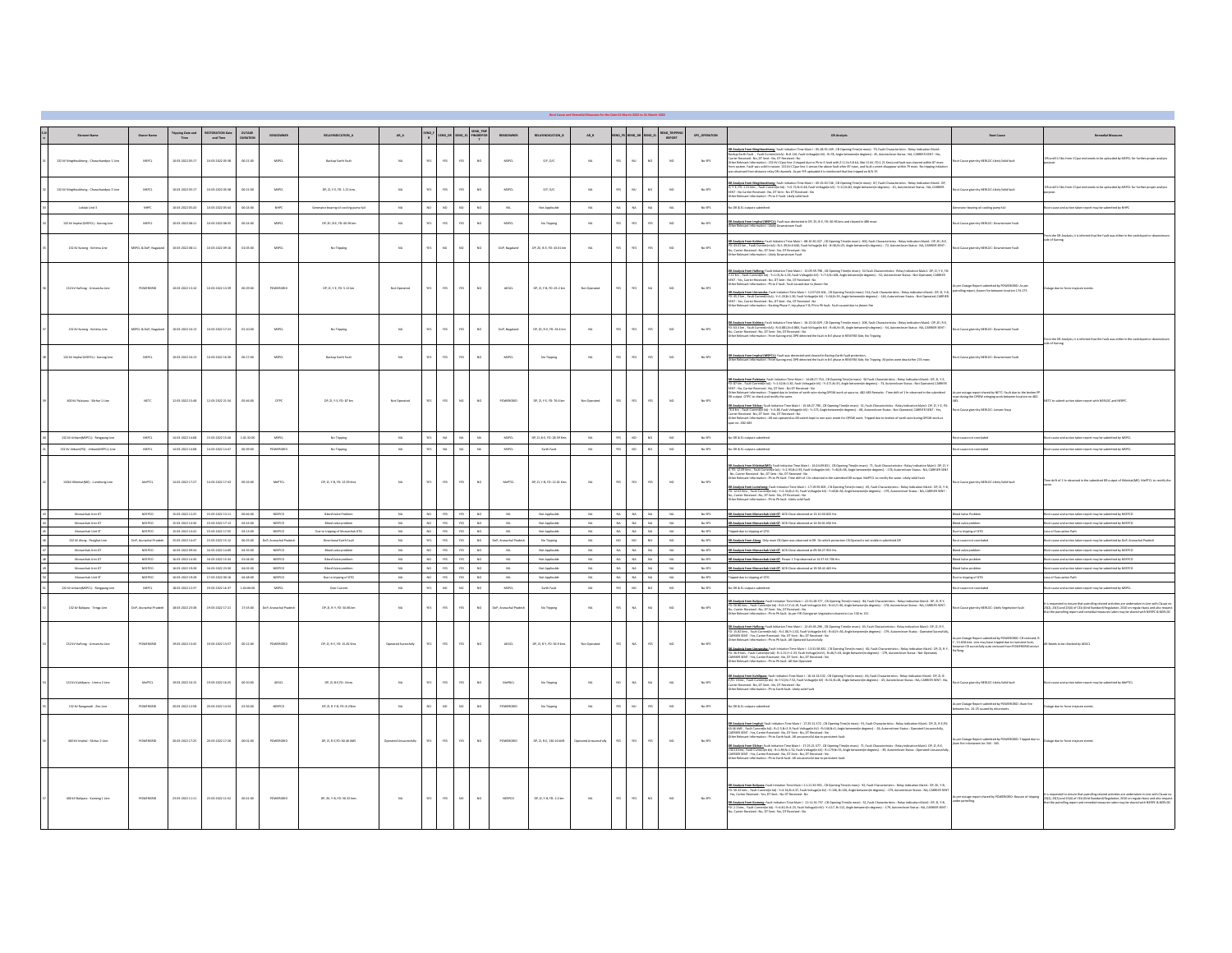|                                             | <b>Owner Name</b>               | kipping Dute an<br>Time                                | <b>TORATION Date</b><br>and Time | <b>JOATUO</b> | SENDOWNER                     | RELAYINDICATION_A                        | ARA                  |        |                                                                          |                                               |                |                      | RELAYINDICATION B          | AR.B                         |                                                                                                                                                                                                                                                                                                                                                                                                                                          |                 |                | REND_TRIPPIN                                                                              | SPS_OPERATION   | <b>DR Analysis</b>                                                                                                                                                                                                                                                                                                                                                                                                                                                                                                                                                                                                                                                                                                                                                                                                                         | <b>Root Cause</b>                                                                                                                                                                          |                                                                                                                                                                                                                                      |
|---------------------------------------------|---------------------------------|--------------------------------------------------------|----------------------------------|---------------|-------------------------------|------------------------------------------|----------------------|--------|--------------------------------------------------------------------------|-----------------------------------------------|----------------|----------------------|----------------------------|------------------------------|------------------------------------------------------------------------------------------------------------------------------------------------------------------------------------------------------------------------------------------------------------------------------------------------------------------------------------------------------------------------------------------------------------------------------------------|-----------------|----------------|-------------------------------------------------------------------------------------------|-----------------|--------------------------------------------------------------------------------------------------------------------------------------------------------------------------------------------------------------------------------------------------------------------------------------------------------------------------------------------------------------------------------------------------------------------------------------------------------------------------------------------------------------------------------------------------------------------------------------------------------------------------------------------------------------------------------------------------------------------------------------------------------------------------------------------------------------------------------------------|--------------------------------------------------------------------------------------------------------------------------------------------------------------------------------------------|--------------------------------------------------------------------------------------------------------------------------------------------------------------------------------------------------------------------------------------|
| 132 kV Ningthoukhong - Churachandpur 1 Line | MODEL                           | 10.03.3032.051                                         | 0.03.3022.05-3                   | 0.210         | Man                           | Backup Earth Fault                       | $_{\rm MA}$          |        |                                                                          | χ.                                            | $10$           | MAG                  | cross                      | $\mathbf{u}$                 |                                                                                                                                                                                                                                                                                                                                                                                                                                          |                 |                | $\mathbf{M}$                                                                              | No. CDC         | <mark>18 Anahai from Marshaakaan:</mark> Frak Initiation Time Main I: 05:18:15.150 , GL Quering Trentfor ment) 70, Frak Chancelettes: Rely Indication Mainta<br>Early Broft Trail F., Frak Chromette The Warrelett (New York Broken Marshall<br>observed from distance relay DR channels. As per FIR uploaded it is mentioned that line tripped on B/U EF.                                                                                                                                                                                                                                                                                                                                                                                                                                                                                 | .<br>Cause given by NERLDC s.lively Solid fault                                                                                                                                            | .<br>Ik and EL files from CCpur end needs to be uploaded by MSPCL for further proper analysis                                                                                                                                        |
| 132 kV Ningthoukhong - Churachandpur 2 Lin  |                                 | 10-03-2022 05:                                         | 03-2022 05:3                     |               | MSPCL                         | 09, 21, Y-E, FD: 1.21 km                 |                      |        |                                                                          |                                               | $_{\rm NO}$    |                      | $E/E$ , Q/C                | <b>NA</b>                    |                                                                                                                                                                                                                                                                                                                                                                                                                                          |                 |                | $_{\text{NO}}$                                                                            | No SPS          | <mark>Sil Andrés for Magfhadbang</mark> Pad Inisiana Time Man i 1951262-76, CB Openig Texplo mec): IF, Pad: Charateristics Mely Indicatio Man S-19,<br>1987: Na Corre Record: Na, DT Sen: Na OT Meanhel Sia Volugeja 10 i Y-11, PaD, Angle b                                                                                                                                                                                                                                                                                                                                                                                                                                                                                                                                                                                               | .<br>Jaune given by NERLDC 1. kely Solid fault                                                                                                                                             | .<br>It and EL files from CCpur end needs to be uploaded by MSPCL for further proper analysis                                                                                                                                        |
| Loans Link 3                                | <b>NADC</b>                     | 10.03.3022.05.39                                       | 10.03.3022.05-6                  | no se on      | <b>MARC</b>                   | Generator bearing oil cooling ourse fail | $\mathbf{M}$         |        |                                                                          | $\sim$                                        | $\mathbf{a}$   | $_{\rm BH}$          | Not Applicable             | $\mathbf{u}$                 | $\mathbf{u}$                                                                                                                                                                                                                                                                                                                                                                                                                             |                 |                | $_{\rm tot}$                                                                              | No. ON          | <b>D2 &amp; El custom submitted</b>                                                                                                                                                                                                                                                                                                                                                                                                                                                                                                                                                                                                                                                                                                                                                                                                        | liaf omus enliggs lig entered total                                                                                                                                                        | .<br>A cause and action taken nevel may be submitted by NH2C                                                                                                                                                                         |
| 132 kV Imphal (MSPCL) - Karong Line         | MSPG.                           | 10-03-2022 08:13                                       | 0-03-2022 08:35                  | 022400        | MSPCL                         | DP, 211, 8-E, FD: 60.96 km               | NA                   |        |                                                                          | <b>YES</b>                                    | $10$           | MSPO.                | No Tripping                | NA                           |                                                                                                                                                                                                                                                                                                                                                                                                                                          |                 |                | $_{\text{NO}}$                                                                            | No SPS          | l Anabels from limphal (MSPCL); Fault was declected in DP, 2li, B-E, FD: 60.96 kms and cleared in 486 msec<br>her Relevant Information : Likely Downstream Fault                                                                                                                                                                                                                                                                                                                                                                                                                                                                                                                                                                                                                                                                           | Cause given by NERLDC: Downstream Fault                                                                                                                                                    |                                                                                                                                                                                                                                      |
| 132 W Karong - Kohima Line                  | ISPCL & DoP, Nagalan            | 10-03-2022 08:1                                        | 10-03-2022 09:10                 | 01:05:00      | MSPCL                         | No Tripping                              | NA:                  |        |                                                                          |                                               | NO.            | DoP, Nagaland        | DP, 21, B-E, FD: 43.61 km  | NA.                          |                                                                                                                                                                                                                                                                                                                                                                                                                                          |                 |                | $_{NO}$                                                                                   | No.5PS          | Analysis from Kabinar Fault Initiation Time Main I : 08:10:30.327, CB Opening Time(in musc): 600, Fault Characteristics: Relay Indication Main1- DP, 28, 9-6,<br>n kA) : B=1.39,N=0.640, Fault Voltage(in kV) : B=36,N=23, Angle betwee<br>(in degrees) : - 72, Autorecloser Status : NA, CARRIER SENT<br>No, Carrier Received : No, DT Sent : No, DT Received : No<br>Other Relevant Information : Likely Downstream Fault                                                                                                                                                                                                                                                                                                                                                                                                                | t Cause given by NERLDC: Downstream Fault                                                                                                                                                  | rom the DR Analysis, it is inferred that the fault was either<br>ide of Kanong.                                                                                                                                                      |
| 132 kV Haflong - Umramhu Line               | POWERGRID                       | 10-03-2022 13:10                                       | 10-03-2022 13:39                 | 022900        | POWERGRID                     | DP, 21, Y-E, FD: 5.12 km                 | Not Operated         |        |                                                                          | <b>ZZY</b>                                    | $_{\text{NO}}$ | ALGO.                | DP, 21, Y-B, FD: 45.2 km   | Not Operated                 |                                                                                                                                                                                                                                                                                                                                                                                                                                          |                 | NA.            | $_{\text{NO}}$                                                                            | No SPS          | <mark>sir from Hafbong</mark> Fault Initiation Time Main I : 13:00:59.798 , CB Opening Time(in mex): 54 Fault Characteristics : Relay Indication Main1- DP, 21, Y-E, FD<br>Fault Current(in RA) : Y+1.01,N+1.03, Fault Voltage(in RV) : Y+7.<br>12 km , Fault Current)n kA) : Yr 1.01,Mr 1.u.e, saurt vonagenn xv ; : Yr 7.a,N<br>NT : Yes, Canter Received : No, OT Sent : No, OT Received : No<br>ther Relevant Information : Ph to E fault. Fault caused due to Jhoom fire<br><b>Stanislava konstantino (k. 1980)</b><br>20. tam - Marina Maria Maria Maria (k. 1930). (S. Opera Trafonez) Ski fua Cananisto, kepadosaniseko ka 3 kas per dan kara Maria (k. 1930)<br>20. tan Gene kemisi ku 21 ket ku 7 ketade 16.<br>201<br>r Relevant Information : Starting Phase Y, trip phase Y-B, Ph to Ph fault. Fault caused due to ihoom fire |                                                                                                                                                                                            | age due to force                                                                                                                                                                                                                     |
| 132 kV Karone - Kohima Line                 | <b>ISPCL &amp; DoP, Nagalan</b> | 10-03-2022 16:13                                       | 10-03-2022 17:23                 | 02:10:00      | MSPCL                         | No Tripping                              | <b>NA</b>            |        |                                                                          | <b>YES</b>                                    | NO.            | DoP, Nasaland        | 09.21.8-E.FD: 63.4 km      | <b>NA</b>                    |                                                                                                                                                                                                                                                                                                                                                                                                                                          |                 |                | $_{NO}$                                                                                   | No.SPS          | <mark>nakeis from Kabing:</mark> Fault Initiation Time Main I : 16:13:00.029 , CA Opening Time(in musc): 208, Fault Characteristics : Relay indication Main1-0P, 28, R-6,<br>13.4 km , Fault Current(m.kA) : R=0.881,N=0.883, Fault Voltage(<br>, Carrier Received : No, DT Sent : No, DT Received : No<br>ser Relevant Information : From Kanong end, DPR detected the fault in B-E phase in REVERSE Side, No Tripping.                                                                                                                                                                                                                                                                                                                                                                                                                   | t Cause aiven by NERLDC: Downstream Fault                                                                                                                                                  | the DR Anal<br>le of Karona.                                                                                                                                                                                                         |
| 132 kV imphal (MSPCL) - Karong Line         | MSPG.                           | 10-03-2022 16:13                                       | 10-03-2022 16:30                 | 021700        | MSPCL                         | <b>Backup Earth Fault</b>                | NA                   |        |                                                                          | <b>ES</b>                                     | NQ             | MSPO.                | No Tripping                | <b>NA</b>                    |                                                                                                                                                                                                                                                                                                                                                                                                                                          |                 |                | $1$                                                                                       | No SPS          | <mark>nabais from imphal (MEPCL):</mark> Fault was declected and cleared in Backup Earth Fault protection.<br>: Relevant information : From Kanzeg end, DPR detected the fault in B-E phase in REVERE Side, No Tripping. All poles were dead                                                                                                                                                                                                                                                                                                                                                                                                                                                                                                                                                                                               | oot Cause given by NERLDC: Downstream Fault                                                                                                                                                |                                                                                                                                                                                                                                      |
| 400 kV Palatana - Sichar 1 Line             | NETC                            | 12-03-2022 15:40                                       | 12-03-2022 21:34                 | 05:46:00      | otec                          | 0P. 2L Y-E. FD: 87 km                    | Not Operated         |        |                                                                          | NO.                                           | NQ             | POWERGRID            | 09.21.Y-E.FD: 76.6 km      | Not Operated                 |                                                                                                                                                                                                                                                                                                                                                                                                                                          |                 |                | NO.                                                                                       | No.SPS          | Anahein from Palatanar Fault Initiation Time Main I : 14:48:27:734 , CR Opening Time(in musc): 56 Fault Characteristics : Relay Indication Main1- DP, 21, Y-E<br>ID km , Fault Current(in M4 : Y+1.62,N+1.82, Fault Voltage(in M1<br>NT: No, Canter Received : No, OT Sent : No OT Received : No<br>her Revount Information : Tripped due to broken of earth wire during CPGW work at span no. 482-483 Remarks : Tree drift of 1 in observed in the submitted<br>I output<br><mark>hil Andrah Don Silhar</mark> Full Hillston The Main I: 154827790, CB Opening Theolo musc): S.f., Full Characteristics: Main Joseph Don Main Silhar S. 97, 24, 670;<br>S.G.Rm, Faul CounselphAil; Yrs 38, Fault Voltageln KV; 17477, An<br>no. 482-483                                                                                                   | .<br>As per cutage report shared by NETC: Fault due to the broken PI<br>rope during the OPGW stringing work between location no 482-<br>Cause given by NERLDC: Jumper Snap                 | ETC to submit action taken report with NERLDC and NERPO                                                                                                                                                                              |
| 132 kV Jirbam(MSPCL) - Rengpang Line        | MSPG.                           | 14:03-2022 14:00                                       | 15-03-2022 15:40                 | 1.01:32:00    | MSPCL                         | No Tripping                              | NA                   |        |                                                                          | $\mathbf{u}$                                  | NA             | MSPO.                | DP, 21, 8-6, FD: 28.59 Km  | <b>NA</b>                    | vec                                                                                                                                                                                                                                                                                                                                                                                                                                      |                 | n <sub>0</sub> | NQ                                                                                        | No.5PS          | o DR & EL outputs submitter                                                                                                                                                                                                                                                                                                                                                                                                                                                                                                                                                                                                                                                                                                                                                                                                                | t cause not concluded                                                                                                                                                                      | t cause and action taken report may be submitted by MSPC                                                                                                                                                                             |
| 132 kV (infamilyG) - (infamily(SPCL) Line   | MSPO <sub>1</sub>               | 14-03-2022 14:08                                       | 1403-2022 14:47                  | 022900        | POWERGRID                     | No Tripping                              | <b>NA</b>            |        | NA                                                                       | NA                                            | NA             | MSPCL                | <b>Carth Fault</b>         | <b>NA</b>                    | <b>YES</b>                                                                                                                                                                                                                                                                                                                                                                                                                               | $\sim$          | NO.            | NQ                                                                                        | No SPS          | No DR & EL outputs submitted                                                                                                                                                                                                                                                                                                                                                                                                                                                                                                                                                                                                                                                                                                                                                                                                               | ot cause not concluded                                                                                                                                                                     | loot cause and action taken report may be submitted by MSPCL                                                                                                                                                                         |
|                                             |                                 |                                                        |                                  |               |                               |                                          |                      |        |                                                                          |                                               |                |                      |                            |                              |                                                                                                                                                                                                                                                                                                                                                                                                                                          |                 |                |                                                                                           |                 |                                                                                                                                                                                                                                                                                                                                                                                                                                                                                                                                                                                                                                                                                                                                                                                                                                            |                                                                                                                                                                                            |                                                                                                                                                                                                                                      |
| 132kV Khleidat (ME) - Lumshong Line         | MePTCL                          | 14-03-2022 17:27                                       | 1403-2022 17:43                  | 021600        | MePTCL                        | 09, 2, Y-9, FD: 12.09 Kms                | NA                   |        | YES                                                                      | YES                                           | NQ             | MePTCL               | DP, 21, Y-B, FD: 12.01 Kms | NA                           | YES                                                                                                                                                                                                                                                                                                                                                                                                                                      | YES             | YES            | NO                                                                                        | No.5PS          | <mark>konko from BhésidWEL</mark> Fair Holmon Tree Man : 1920-00.101, CB Opening Treejo mes): 7. Fair Ouncinetist: Pely Hol<br>D: 1209 Km, Fair Currelle M.) 1920-01-03, Fair Voltagio NV, 1940-24, Angle Imwerdo depresi -176, Autorschur S<br>Jankastons Lumbaug Fuik iniziko Ton Main I 1733-20.805 , CB Openg Trephonuc): 65, Fad: Chausterido: Helpy indicatio Maisl-DP, 31, Y-9,<br>i 1203 Rm., Fault Cumelfin M.): Yr2.34,8-231, Fault Valsaghi NF): TrebJir36, Angle betw                                                                                                                                                                                                                                                                                                                                                          | loot Cause given by NERLDC Likely Solid fault                                                                                                                                              | lime drift of 1 hr observed in the submitted DR output of Khleinat(ME). MePTCL                                                                                                                                                       |
| Monarchak Unit GT                           | NEEPCO                          | 15-03-2022 12:25                                       | 15-03-2022 13:11                 | 024600        | $_{\rm NEIECO}$               | Eleed Valve Problem                      | NA                   |        | NO YES YES NO                                                            |                                               |                | N12                  | Not Applicable             | NA                           |                                                                                                                                                                                                                                                                                                                                                                                                                                          |                 |                | <b>NA NA NA NA</b>                                                                        | No SPS          | DR Anaheis from Monarchak Unit GT: GCR Close observed at 12:30:50.832 Hrs                                                                                                                                                                                                                                                                                                                                                                                                                                                                                                                                                                                                                                                                                                                                                                  | <b>Bleed Value Problem</b>                                                                                                                                                                 | Root cause and action taken report may be submitted by NEDFCO                                                                                                                                                                        |
| Monarchak Unit GT                           | NEEPCO                          | 15-03-2022 14:30                                       | 15-03-2022 17:13                 | 02/0200       | NEEPCO                        | Bleed valve problem                      | <b>NA</b>            | NO.    |                                                                          | $\mathbf{vrs} = -\mathbf{vrs} = -\mathbf{no}$ |                | N.L.                 | Not Applicable             | NA                           | $\mathbf{M}\mathbf{A} = \mathbf{M}\mathbf{A} + \mathbf{M}\mathbf{A} + \mathbf{M}\mathbf{A} + \mathbf{M}\mathbf{A} + \mathbf{M}\mathbf{A} + \mathbf{M}\mathbf{A} + \mathbf{M}\mathbf{A} + \mathbf{M}\mathbf{A} + \mathbf{M}\mathbf{A} + \mathbf{M}\mathbf{A} + \mathbf{M}\mathbf{A} + \mathbf{M}\mathbf{A} + \mathbf{M}\mathbf{A} + \mathbf{M}\mathbf{A} + \mathbf{M}\mathbf{A} + \mathbf{M}\mathbf{A} + \mathbf{M}\mathbf{A} + \mathbf{$ |                 |                | <b>NA</b>                                                                                 | No.95           | DR Analysis from Monarchak Unit GT: GCB Close observed at 14:36:01.656 Hrs                                                                                                                                                                                                                                                                                                                                                                                                                                                                                                                                                                                                                                                                                                                                                                 | leed valve problem                                                                                                                                                                         | Root cause and action taken report may be submitted by NEEPCO                                                                                                                                                                        |
| Monarchak Unit ST                           | NEEPCO                          | $15\!\cdot\! 03\!\cdot\! 2022\!\cdot\! 16\!\cdot\! 42$ | $15\,03\,2022\,17\,55$           | 021200        | NEEPCO                        | Due to tripping of Monarchak GTG         | NA                   |        | $\mathit{NO} \qquad \mathit{VIS} \qquad \mathit{VIS} \qquad \mathit{NO}$ |                                               |                | N                    | Not Applicable             | <b>NA</b>                    |                                                                                                                                                                                                                                                                                                                                                                                                                                          |                 |                | $\mathbf{NA} \qquad \mathbf{NA} \qquad \mathbf{NA} \qquad \mathbf{NA} \qquad \mathbf{NA}$ | No SPS          | Tripped due to tripping of GTG                                                                                                                                                                                                                                                                                                                                                                                                                                                                                                                                                                                                                                                                                                                                                                                                             | Due to tripping of GTG                                                                                                                                                                     | <b>Loss of Evacuation Path</b>                                                                                                                                                                                                       |
| 132 kV Along - Pasighat Line                | <b>CoP.</b> Arunachal Prade     | 15.03.3033.14.47                                       | 15.03.3022.15-12                 |               | 00:25:00 DoP, Animachal Prade | Directional Earth Cault                  | NA                   | vec    | YES                                                                      | $\forall \mathbb{E} S$                        | NO             | DoP, Anatochal Prade | No Tripping                | $n + 1$                      | $NO$ $NO$                                                                                                                                                                                                                                                                                                                                                                                                                                |                 | NO             | NQ                                                                                        | No SPS          | DR Anaheis from Along: Only main CB Open was observed in DR. On which protection CB Opened is not visible in submitted DR                                                                                                                                                                                                                                                                                                                                                                                                                                                                                                                                                                                                                                                                                                                  | ot cause not concluded                                                                                                                                                                     | .<br>Root cause and action taken report may be submitted by DoP, Arunachal Pradesh                                                                                                                                                   |
| Monarchak Unit GT                           | $_{\rm NLIECO}$                 | 16-03-2022 09:34                                       | 16-03-2022 14:09                 | 043500        | $_{\text{NEFCO}}$             | Bleed valve problem                      | NA.                  |        |                                                                          | ves 1                                         |                | NH <sub>1</sub>      | Not Applicable             |                              | NA NA                                                                                                                                                                                                                                                                                                                                                                                                                                    |                 | NA             | NA                                                                                        | No SPS          | sheit from Monarchak Unit GT: GCR Close observed at 09:38:27.953 Hrs                                                                                                                                                                                                                                                                                                                                                                                                                                                                                                                                                                                                                                                                                                                                                                       | valve problem                                                                                                                                                                              | ot cause and action taken report may be submitted by NEEPCO                                                                                                                                                                          |
| Monarchak Unit GT                           | NEEPCO                          | 16-03-2022 14:30                                       | 16-03-2022 15:34                 | 01:04:00      | NEEPCD                        | Eleed Valve problem                      | NA                   | $\sim$ |                                                                          | YES W.S. NO                                   |                | N                    | Not Applicable             | <b>NA</b>                    |                                                                                                                                                                                                                                                                                                                                                                                                                                          |                 | NA NA NA       | NA                                                                                        | No SPS          | DR Analysis from Monarchak Unit GT: Power 1 Trip observed at 14:37:42.706 Hrs                                                                                                                                                                                                                                                                                                                                                                                                                                                                                                                                                                                                                                                                                                                                                              | ed Valve problem                                                                                                                                                                           | loot cause and action taken report may be submitted by NEEPCO                                                                                                                                                                        |
| Monarchak Unit GT                           | NEEPCO                          | 16-03-2022 19:28                                       | 16-03-2022 23:30                 | 04:02:00      | NEEPCO                        | Eleed Valve problem                      | NA                   | NO     | YES                                                                      | YES                                           | NO             | NIL                  | Not Applicable             | <b>NA</b>                    | NA                                                                                                                                                                                                                                                                                                                                                                                                                                       | NA.             | NA             | NA                                                                                        | No SPS          | DR Analysis from Monarchak Unit GT: GCR Close observed at 19:38:42.463 Hrs                                                                                                                                                                                                                                                                                                                                                                                                                                                                                                                                                                                                                                                                                                                                                                 | d Valve problem                                                                                                                                                                            | loot cause and action taken report may be submitted by NEEPCO                                                                                                                                                                        |
| Monarchak Unit ST                           | NEEPCO                          | 16-03-2022 19:28                                       | 7-03-2022 00:16                  | 00:48:00      | NEEPCO                        | Due to tripping of GTG                   | NA                   |        |                                                                          | YES                                           | NO             | NIL                  | Not Applicable             | NA                           | <b>NA</b>                                                                                                                                                                                                                                                                                                                                                                                                                                | NA              | NA             | NA                                                                                        | No SPS          | aTD hageint of eub begeh!                                                                                                                                                                                                                                                                                                                                                                                                                                                                                                                                                                                                                                                                                                                                                                                                                  | DTD gripping of an                                                                                                                                                                         | oss of Evacuation Path                                                                                                                                                                                                               |
| 132 kV Jirbam(MSPCL) - Rengpang Line        | MSPG.                           | 18-03-2022 12:37                                       | 19-03-2022 16:37                 | 1.04.00.00    | MSPCL                         | Over Current                             | NA                   |        |                                                                          | NQ                                            | NO.            | MSPO.                | <b>Carth Fault</b>         | NA                           | <b>YES</b>                                                                                                                                                                                                                                                                                                                                                                                                                               | NO <sub>1</sub> |                | NO.                                                                                       | No SPS          | bettimdar students & & RO oil                                                                                                                                                                                                                                                                                                                                                                                                                                                                                                                                                                                                                                                                                                                                                                                                              | loot cause not concluded                                                                                                                                                                   | oct cause and action taken report may be submitted by MSPCL                                                                                                                                                                          |
| 132 kV Ralipara - Tenga Line                | op, Arunachal Prades            | 18-03-2022 22:3                                        | 19-03-2022 17:21                 | 17:43:00      | DoP, Ananachal Prades         | 09, 21, 8-Y, FD: 50.86 km                | <b>NA</b>            |        |                                                                          | <b>ES</b>                                     | $_{\rm NO}$    | ,<br>Anunachal Prade | No Tripping                | NA.                          |                                                                                                                                                                                                                                                                                                                                                                                                                                          |                 |                | $_{\text{NO}}$                                                                            |                 | <mark>t Anahok from Balkarz:</mark> Faut Initiation Time Main I : 22:31:28.577, CB Opening Time[in mac): 84, Fault Characteristic : Relie Indication Main1-DP, 21, R-Y,<br>Y. SD Bis line, Fault Currently M.J. R. O. 27. Paul St. Discounts<br>Relevant Information : Ph to Ph fault. As per FIR Overgrown Vegetation cleared at Loc 130 to 131.                                                                                                                                                                                                                                                                                                                                                                                                                                                                                          | Cause given by NERLDC: Likely Vegetation fault                                                                                                                                             | It is requested to ensure that patrolling related activities are undertaken in Line with Clause no<br>23(2), 23(3) and 23(4) of CEA (Grid Standard) Regulation, 2000 on regular basis and also reques<br>that the patrolling report  |
| 132 kV Haffong - Umramhu Line               | POWERGRID                       | 19-03-2022 12:45                                       | 19-03-2022 12:57                 | 021200        | POWERGRID                     | 09, 21, 8-Y, FD: 15.82 Kms               | Operated Sucessfully |        | YES                                                                      | <b>ZZY</b>                                    | $_{\rm NO}$    | ALGO.                | DP, ZI, R-Y, FD: 36.9 kms  | Not Operated                 |                                                                                                                                                                                                                                                                                                                                                                                                                                          |                 |                | $_{\text{NO}}$                                                                            | No SPS          | <mark>Anabeis from Haffong:</mark> Fault Initiation Time Main I : 12:45:05.266 , CB Opening Time(in mec): 63, Fault Characteristics : Relay Indication Main1- DP, 21, R-Y,<br>15.82 Kms , Fault Current(in M) : R=1.06,Y=1.02, Fault Voltage<br>ллллллон, эвит ситетрелич,: нт 1.06,Yr 1.02, Fault Voltage (п KV) : R<br>188ER SENT : Yes, Carrier Received : No, DT Sent : No, DT Received : No<br>er Relevant Information : Ph to Ph fault. AR Operated Successfully<br>Ándula fam Liennaus Frakristies Ten Mai I i 13:16 4131, G Gering Tradinmet) 60 Fait Caracterizio: Teley informe Mai LOP, 2, 8-7,<br>14:5km, Fait Caracteriz (19:1-11:11:13, Guit Veltagio IV) : Rokynis, Angle ketwende depent) -                                                                                                                                | As per Outage Report submitted by POWERGRID: CB reclosed; R<br>Y , 15.658 kms. Line may have tripped due to transient fault,<br>however CB succesfully auto reclosed from POWERGRID end at | AR Needs to be checked by AEGCL                                                                                                                                                                                                      |
| 132 kV Kahilipara - Umtru 2 Line            | MePTCL                          | 19-03-2022 16:1                                        | 9-03-2022 16:2                   | 021000        | ALGO.                         | 09, 21, 8-6, FD: 4 kms                   | NA                   |        |                                                                          | <b>ZZY</b>                                    | NQ             | MePGCL               | No Tripping                | NA.                          |                                                                                                                                                                                                                                                                                                                                                                                                                                          |                 |                | NA                                                                                        | No SPS          | Analysis from Kahiligara: Fault Initiation Time Main I: 16:14:24:532 , CB Opening Time(in musc): 66, Fault Characteristics : Relay Indication Main! - 0P, 21, 8-<br>rDr.4 kms, Fault Current) «Ма) во 2024 года и на сели на селото и переод итеративе; об, Fault Characteristics: Relay Indication Malel- 09, 21, 8-<br>mile Breckwed: No, OT Sets : No, OT Recaled: No No New York (2012), New Yor                                                                                                                                                                                                                                                                                                                                                                                                                                       | t Cause given by NERLDC sikely Solid fault                                                                                                                                                 | cause and action taken report may be submitted by MePTCL                                                                                                                                                                             |
| 132 kV Ranganadi - Ziro Line                | POWERGRID                       | 20-03-2022 12:58                                       | 0-03-2022 14:54                  | 11:56:00      | NEEPCO                        | $D, 2, 8, 44, 60, 8.23$ an               | $_{\rm NA}$          |        |                                                                          | $_{\rm NO}$                                   | $_{\rm NO}$    | POWERGRID            | No Tripping                | NA                           |                                                                                                                                                                                                                                                                                                                                                                                                                                          |                 |                | $_{\rm NO}$                                                                               | $_{\rm No}$ gas | DR & EL outputs submitted                                                                                                                                                                                                                                                                                                                                                                                                                                                                                                                                                                                                                                                                                                                                                                                                                  | As per Outage Report submitted by POWERGRID: Jhum fire<br>between loc. 24-25 caused by miscreants.                                                                                         | .<br>Outage due to force majeure events                                                                                                                                                                                              |
|                                             |                                 |                                                        |                                  |               |                               |                                          |                      |        |                                                                          |                                               |                |                      |                            |                              |                                                                                                                                                                                                                                                                                                                                                                                                                                          |                 |                |                                                                                           |                 |                                                                                                                                                                                                                                                                                                                                                                                                                                                                                                                                                                                                                                                                                                                                                                                                                                            |                                                                                                                                                                                            |                                                                                                                                                                                                                                      |
| 400 kv imphal - Sichar 2 Line               | POWERGRID                       | 20-03-2022 17:2                                        | 20-03-2022 17:26                 | 000100        | POWERGRID                     | DP. 2. 8-EFD: 60.46 MMS                  | Operated Unu         | vec.   | YES                                                                      | <b>ZZY</b>                                    | $10$           | POWERGRID            | $DP, 2i, 8-6, 130.16$ kMS  | <b>Operated Unsucessfull</b> | <b>YES</b>                                                                                                                                                                                                                                                                                                                                                                                                                               | YES             | YES.           | $\mathbf{M}$                                                                              | No.5PS          | om Imphat Fault Initiation Time Main I: 17:25:21.572 . CB Opening Timelin musc': 91. Fault Characteristics : Relay Indication Main1- 09.21. R-EFO<br>an announce in an announce and the matrix of the metallic party and terms used in a state control of the metal<br>CARRIS CHIT : You Carrent in May Braz Alva 2, Fault Voltage(in Vr) : Relat, Net, Angle between(in degree) : - 2<br>28 Amhathaa Shahar Fuil iolaino Tree Mein i 173231.177, a Gyoring Treejn mez) 71, Faab Characteristics : Relay indiszion Maini: 09, 2), 8-6,<br>130.36 km, Faab Carnetijn Mij: Rri 186,Hr 13, Faab Voltagels W) : Rri 179,HrS, An                                                                                                                                                                                                                | i per Outage Report submitted by POWERGRID: Tripped due to<br>um fire in between loc 344 - 345.                                                                                            |                                                                                                                                                                                                                                      |
| 400 kV Balgara - Kameng 1 Line              | POWERGRID                       | 23-03-2022 11:11                                       | 23-03-2022 11:52                 | 024200        | printedam                     | no zu v.a cn-sn zzweg                    | $\mathbf{M}$         | YES.   | YES                                                                      | NO.                                           | NO             | seren                | 09,21, Y-8, FD: 2.2 km     | <b>NA</b>                    | vec                                                                                                                                                                                                                                                                                                                                                                                                                                      | YES.            | NO             | NO.                                                                                       | No. CDC         | <mark>1 Anahei foor Balauce</mark> Fadtinisaten Time Main I 11:11:131 951 , CA Opening Time(in mus): 92, Fadt Chansteristis: :Reliy Indication Main1-DP, 2H, Y-A,<br>Y 50 23 km, Faat Curres(b MJ : Ymi JAJn4 32) Faat Voltage(n W) : Yr126,<br>Analysis from Kamena: Fault Initiation Time Main   : 11:11:34.737 . CB Opening Timelin muscl: S2. Fault Characteristics : Relay Indication Main 1-0P. 2LY-B.<br>FD: 2.2 kms, Fault Currențin kA): Yn4.40, Bn4.22, Fault Voltagelin kVj : Yn117, Bn112, Angle between[in degrees] : -179, Autorecloser Statu : NA, CARRER SENT :<br>No, Carrier Aeoeked : No, DT Sent : No, DT Aeoeked : No                                                                                                                                                                                                 |                                                                                                                                                                                            | It is respected to ensure that patrolling related activities are undertaken in Line with Clause n<br>23(2), 23(2) and 23(4) of CEA (Grid Standard) Aegulation, 2000 on regular basis and also reque<br>that the patrolling report an |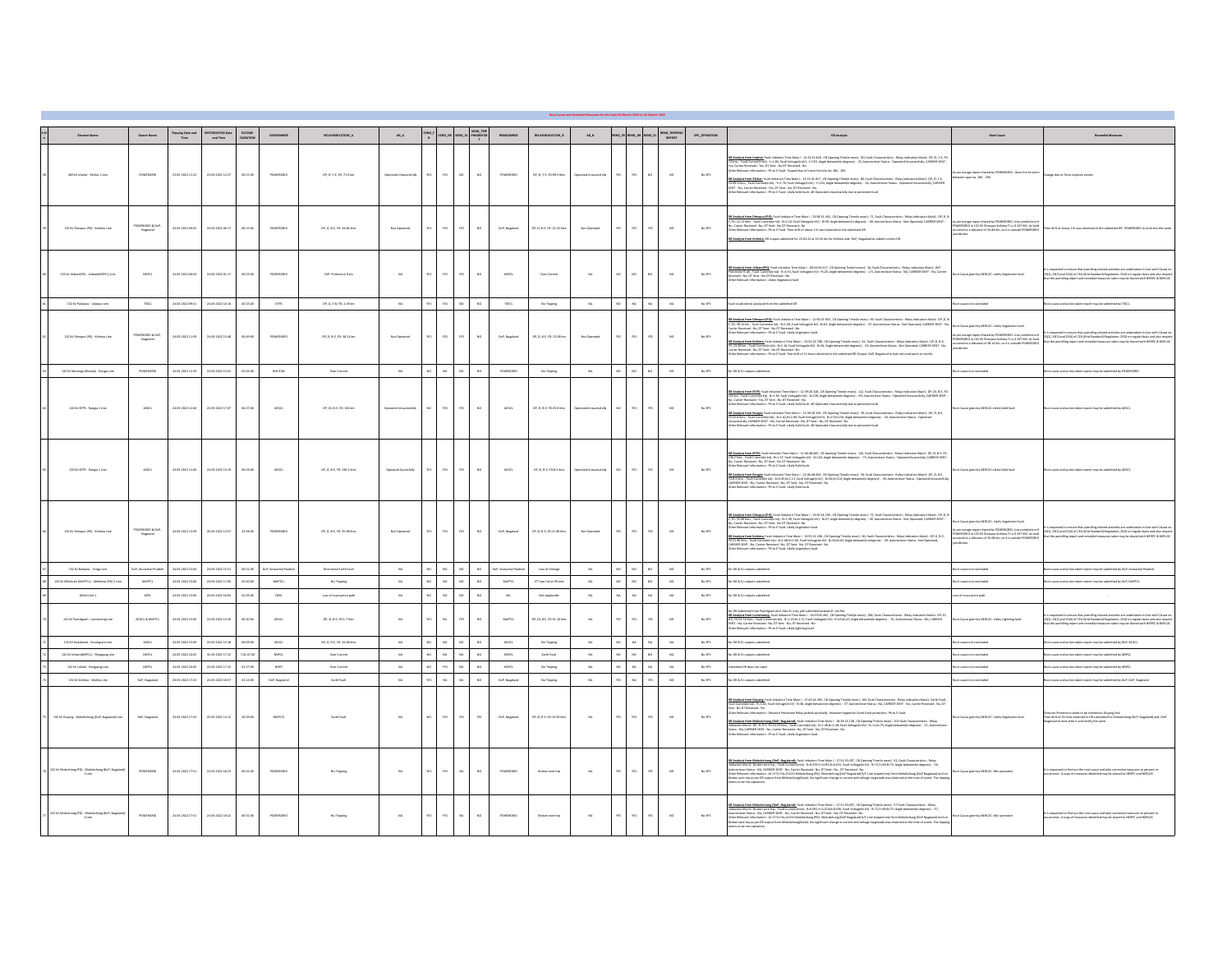|                                                            | Owner Name                  | pping Date and<br>Time | TORATION Date<br>and Time | OUTAGE     | SENDOWNER            | RELAYINDICATION_A         | AA                     |                |                                   |                |                      | RELAYINDICATION_B         | AR_B                |          |                          | ND_DR REND_EL REND_TRIPPING |                | SPS_OPERATION   | <b>DR Analysis</b>                                                                                                                                                                                                                                                                                                                                                                                                                                                                                                                                                                                                                                                                                                                                                                                           | <b>Root Cause</b>                                                                                                                                                                                                                                           |                                                                                                                                                                                                                                      |
|------------------------------------------------------------|-----------------------------|------------------------|---------------------------|------------|----------------------|---------------------------|------------------------|----------------|-----------------------------------|----------------|----------------------|---------------------------|---------------------|----------|--------------------------|-----------------------------|----------------|-----------------|--------------------------------------------------------------------------------------------------------------------------------------------------------------------------------------------------------------------------------------------------------------------------------------------------------------------------------------------------------------------------------------------------------------------------------------------------------------------------------------------------------------------------------------------------------------------------------------------------------------------------------------------------------------------------------------------------------------------------------------------------------------------------------------------------------------|-------------------------------------------------------------------------------------------------------------------------------------------------------------------------------------------------------------------------------------------------------------|--------------------------------------------------------------------------------------------------------------------------------------------------------------------------------------------------------------------------------------|
| 400 kV (mpha) - Silchar 2 Line                             | POWERGRID                   | 23-03-2022 12:22       | 23-03-2022 12:37          | 021500     | POWERGRID            | 07.2.Y-E.FD: 71.6 km      | Operated Unsucessfully | ves            | NO.<br>YES                        | NQ             | POWERGRID            | DP, 2, Y-E, FD:99.3 Km    | perated Unsucessful |          |                          |                             | NO             | No.5PS          | DR Analysis from Imphal: Fault Initiation Time Main I: 12:22:41.818, CB Opening Time(in musc): 80, Fault Characteristics : Relay Indication Main1-DP, 2, Y-E, FC<br>lions , Fault Currentin M) : Yrs 85, Fault Voltagejn M) : Yrs55, Angle between(in degrees) - 33, Autoreclose Status : Operated Unsucessfully, CARRER SENT<br>N, Carrier Research : Yes, DE Sent: No OT Received : No<br>The Relevant<br>Analysis from Slichar: Fault Initiation Time Main I: 12:22:41.817, CB Opening Time (n musc): 80, Fault Characteristics : Relay Indication Main1-DP, 21, Y-E,<br>1954 Rms, Fault Current[m.M] : 1917. Т.6, Fault Wintegrin Wir) - м мрене и интернительной принимать с MIGH IND<br>NT : 1944, Grane Recover 17 He, OF Sent Michaelin Wir) - 1954, Анды tetween/in degree() - 34, Autonoclose Stat | As per outage report shared by POWERGRID: Jhum fire found in<br>between span no. 284 - 285.                                                                                                                                                                 | tage due to force                                                                                                                                                                                                                    |
| 132 kV Dimapur (PGI - Kohima Line                          | CWERGRID & DoP,<br>Nagaland | 34.03.3032.00.03       | 14.03.3022.06-17          | $-0.0500$  | printedan            | 09.2.0-E.FD:34.84 Km      | Not Operated           |                | vec.                              | NO.            | DoP, Nasaland        | 0P, 2l, 8-E, FD: 22.23 Km | Not Operated        |          |                          |                             | <b>MO</b>      | No.95           | <b>d Angle Inn Steppe (RG</b> Fuel vinter The Man 1 3:56:3:46, C4 Openig Treple muc): 71, Fash Osracinistics: Felay Industrial Main!: 69, 71, 8-<br>179 22:32 Fee, That Currelly Mi; 18:23, Fash Vinter Vinter Man Markettle Agrees":<br>DR Analysis from Dimapur (PG): Fault Initial<br>DR Analysis from Kabinac DR cutput submitted for 23.03.22 at 23.54 hrs for Kohima side. DoP, Nagaland to submit correct DR.                                                                                                                                                                                                                                                                                                                                                                                         | Às per outage report shared by POWERGRID: Line jurisdiction of<br>POWERGRID in 132 KV Dimapur-Kohima Ti, is 0.347 KM. As fault<br>occurred at a distance of 34.84 Km, so it is outside POWERGRID<br>jurisdiction.                                           |                                                                                                                                                                                                                                      |
| 132 kV Jiribam(PG) - Jiribam(MSPCL) Lin                    | MSPG.                       | 34-03-2022 00:5        | 1603-2022 00:1            | 022200     | POWERGRID            | DIY. Protection R-ph      | <b>NA</b>              | YES            | <b>YES</b><br>YES                 | NQ             | MSPCL                | Over Current              | <b>NA</b>           |          |                          | NO.                         | NQ             | No SPS          | <mark>8 Acabak from Albamil G</mark> r. Fait Istiation Time Main I : 00:54:50.417 , CB Opening Time(in mue;) - 34, Faith Characteristics : Relay Indication Main)- Dff.<br>vonteton Rph, Faat Carrenfin Alj : R=ASQ, Fault Voltage[in kirj :<br>s : Likely Vegetation fault                                                                                                                                                                                                                                                                                                                                                                                                                                                                                                                                  | t Cause given by NERLDC: Likely Vegetation fault                                                                                                                                                                                                            | .<br>1921, 23(3) and 23(4) of CEA (Grid Standard) Regulated activities are undertaken in Line with Clause no<br>hat the patrolling report and remedial measures taken may be shared with NERPC & NERLOC.                             |
| 132 kV Palatana - Udalpur Line                             | $_{\rm TSGL}$               | 34-03-2022 09:51       | 34-03-2022 10:16          | 022500     | $_{\rm OTPC}$        | DP, 21, Y-9, FD: 2.49 km  | <b>NA</b>              | YES.           |                                   | $_{\text{NO}}$ | TSECL                | No Tripping               | <b>NA</b>           |          | NA                       | NA                          | <b>NA</b>      | $_{\rm No}$ srs | t could not be analysed from the submitted DR                                                                                                                                                                                                                                                                                                                                                                                                                                                                                                                                                                                                                                                                                                                                                                | cause not concluded                                                                                                                                                                                                                                         | oot cause and action taken report may be submitted by TSECL                                                                                                                                                                          |
| 132 kV Dimapur (PG) - Kohima Line                          | NERGRID & DoP<br>Nagaland   | 34-03-2022 11:55       | 24-03-2022 12:48          | 0249.00    | POWERGRID            | DP, 21, B-E, FD: 38.14 km | Not Operated           |                | <b>Z</b>                          | $NO$           | DoP, Nagaland        | 09, 2, 8-E, FD: 23.38 km  | Not Operated        |          |                          |                             | $_{\text{NO}}$ | No SPS          | <mark>R Analysk from Diragua: (P4):</mark> Fault Islöation Time Main I : 11:56:07.833 , CB Opening Time(in man;): 66, Fault Characteristics : Relay Indication Main1-DP, 21, I<br>FO: 28.14 Mar. Fault Carrentinaly: 1et. 56, Fault Woltegel<br>or Relevant Information : Ph to E Fault. Likely Vegetation fault.<br><mark>28 Aushalt me Kalen</mark> g Fanthomane The Mani 1234:12 XM, C4 Opening Theolio must; 41, Fant Charadentinic Haly Indiation Mainle DP, 21, B-C<br>10: 23.18 km, Radi Camesin Wij : 8-1.15 Fanthology DV, 1974, Angle Interestin dagent)                                                                                                                                                                                                                                           | .<br>Cause given by NERLDC: Likely Vegetation fault<br>.<br>As per outage report shared by POWERGRID: Line jurisdiction of<br>POWERGRID in 132 KV Dimagur-Kohima TL is 0.347 KM. As fault<br>Occurred at a distance of 38.14 Km, so it is outside POWERGRID | It is requested to ensure that patrolling related activities are undertaken in Line with Clause no<br>23(2), 23(3) and 23(4) of CEA (Grid Standard) Regulation, 30(d) on regular basis and also reques<br>that the patrolling report |
| 132 kV Motonga (Bhutan) - Rangia Line                      | POWERGRID                   | 24-03-2022 12:39       | 24-03-2022 13:41          | 01:02:00   | EHUTAN               | Over Current              | NA                     |                |                                   | NQ             | POWERGRID            | No Tripping               | NA.                 |          | $^{10}$                  | NO.                         | NO             | No SPS          | bettimdus stuppes J3 & RD o                                                                                                                                                                                                                                                                                                                                                                                                                                                                                                                                                                                                                                                                                                                                                                                  | cause not concluded                                                                                                                                                                                                                                         | t cause and action taken report may be submitted by POWERGRID                                                                                                                                                                        |
| 220 kV BTPS - Rangia 2 Line                                | ALGO.                       | 34-03-2022 12:4        | 24-03-2022 17:00          | 042700     | ADGO.                | DP, 211, B-E, FD: 354 km  |                        | NO             | YES<br>YES                        | NO             | ALCO.                | 09, 2, 8-4, FD 25.8 Kms   |                     |          |                          |                             | NO             | No SPS          | <mark>a from BTPS:</mark> Fault Initiation Time Main I : 12:39:20.328 , CB Opening Time(in musc): 112, Fault Characteristics : Relay Indication Main1- CP, 20, B-E, FC<br>ault Camera[in M] : B=1 36, Fault Voltage(in W] : B=128, Angle bet<br>Gi km , Fault C<br>Carrier Received : Yes, DT Sent : No DT Received : No<br>er Relevant Information : Ph to E Fault. Likely Solid fault. AR Operated Unsucessfully due to persistent fault<br><mark>28 Andrán fran Bara</mark> lt Fuil institus The Main I 12.392.230, Cloping Treaty may 56, Fait Chandraridz : Relay industrie Main LDP, 2), B.C.<br>1025 B.Res, Paul Correstja-M.I : Br.L2,N-2.06, Fails Voltage(n.N) : Br.7,N-150, Angl                                                                                                                  | Cause given by NERLDC Likely Solid fault                                                                                                                                                                                                                    |                                                                                                                                                                                                                                      |
| 220 kV BTPS - Rangia 1 Line                                | AEGOL                       | 34-03-2022 12:46       | 24-03-2022 13:19          | 023300     | ALGO.                | 09, 2, 8-E, FD: 136.2 Kms | Operated Sucessfully   | YES            | YES                               | NO             | AEGOL                | 09, 21, 8-6, FD 9.5 Kms   | gerated Unsucessful |          |                          |                             | NO.            | No SPS          | , <mark>24 Andrá IVI. El Fr</mark> a Histórico Tron Mari I (24 de 202). Cé Opring Tranjo mec): Dá faul Charchinitz; Saly Inforzio Maria. OS 31 & CO<br>186, Juan , Frank Comedja kij. 194,0, Frank Vetagrijski): (P.12), Agir Internicio Agre<br><mark>28 Analysis from Bangiz</mark> Fault Initiation Theo Mein I 13:46:48.692, CA Opening Treaty ment; S. Fault Channelston: Main John Collection Mains 49:21, B-E,<br>1935: Earn , Pack Committe M.; In Sec. 45:11:11, Fault Valuages In V                                                                                                                                                                                                                                                                                                                | It Cause given by NERLDC Likely Solid fault                                                                                                                                                                                                                 |                                                                                                                                                                                                                                      |
| 132 kV Dimapur (PG) - Kohima Line                          | CWERGRID & DoP,<br>Nagaland | 34-03-2022 13:59       | 26-03-2022 12:57          | 225800     | POWERGRID            | 09, 2, 8-4, FD: 35.08 Km  | Not Operated           | ves            | $\gamma \Gamma 5$<br>$_{\rm vrs}$ | $_{\rm NO}$    | DoP, Nagaland        | 0P, 2l, 8-6, FD:21.96 Kms | Not Operated        |          |                          | YES                         | NQ             | No SPS          | 24 Ambie fan Brone (1951 fut it eining Tre Mar) i 13:03412K, C8 Operig Timpin mec) 72, Fait Osmennins : Rely isdiction Maisl. OP, 21, E<br>E-Fit: 35:81 for , Tasif Carvello M) in 1:30, Faith Value (1970): In 57, Angle Istoren<br>il Anhabitan Kabisar (mitriminen Tree Main i 18.517.181, Clopera Treejemus): 40, Fasil Characterista : Anty Indiazion Main I oft, 7), D. 6,<br>1931 St Eary, Fault Committe M.), and allen 1.06, Fasil Vahagele M.) : Brad, Hrs,                                                                                                                                                                                                                                                                                                                                        | Cause given by NERLDC: Likely Vegetation fault                                                                                                                                                                                                              | As per stage report develop PONSKAID: Lieu judicition of . It is mogenfelds ensure the patroling educed achieties in Lieu with Chuse no<br>PONSKAID: in 122 0'Ensure-Robina T1, is 2,0 OM, Ar but . 2021, 2021 en 2020 of CA (Gri    |
| 132 kV Balizara - Tenga Line                               | DoP, Arumachal Prades       | 34-03-2022 15:00       | 24-03-2022 15:51          | 025100     | DoP, Anatochal Prade | Directional Earth Fault   | NA                     | $\mathbf{w}$   | no.<br>M.                         | $_{\text{NO}}$ | DoP, Ananachal Prade | Loss of Voltage           | <b>NA</b>           | $\sim$   | $\mathbf{M}$             | NQ                          | NQ             | No SPS          | bettimdur students & 80 c                                                                                                                                                                                                                                                                                                                                                                                                                                                                                                                                                                                                                                                                                                                                                                                    | t cause not concluded                                                                                                                                                                                                                                       | oot cause and action taken report may be submitted by DoP. Anunachal Pradesh                                                                                                                                                         |
| 132 kV Khliehriat (MePTCL) - Khliehriat (PG) 2 Line        | MePTCL                      | 34-03-2022 15:00       | 14-03-2022 17:00          | 02000      | MePTCL               | No Tripping               | <b>NA</b>              |                | NO.<br>$\omega$                   | $_{\rm NO}$    | MePTCL               | VT Fuse fail at PG end    | <b>NA</b>           |          | $\overline{M}$           | NQ                          | $_{\rm NO}$    | No SPS          | .<br>DR & EL outputs submitted                                                                                                                                                                                                                                                                                                                                                                                                                                                                                                                                                                                                                                                                                                                                                                               | cause not concluded                                                                                                                                                                                                                                         | oot cause and action taken report may be submitted by DoP, MePTCL                                                                                                                                                                    |
| Dikohi Unit 1                                              | DEPL                        | 34-03-2022 15:00       | 24-03-2022 16:05          | 01:05:00   | DEPL                 | Loss of execuation path   | NA                     | $\overline{M}$ | NO.<br>NO.                        | NQ             | NH <sub>1</sub>      | Not Applicable            | NA.                 |          | $\overline{M}$           | NA                          | <b>NA</b>      | No.SPS          | bettimdur students & & & o                                                                                                                                                                                                                                                                                                                                                                                                                                                                                                                                                                                                                                                                                                                                                                                   | ts of evacuation path                                                                                                                                                                                                                                       |                                                                                                                                                                                                                                      |
| 132 KV Panchgram - Lumshnong Line                          | AEGCL & MePTCL              | 34-03-2022 15:00       | 24-03-2022 15:20          | 022000     | ADGO.                | 09, 21, 9-6, FD: 1.7 Kms  | NA                     | YES            | <b>YES</b><br>NU.                 | NO             | MePTCL               | DP, 21, 8-6, FD:51.10 Km  | <b>NA</b>           |          | YES.                     | YES                         | NQ             | No SPS          | lia Ok Sabelistel fon Parchgum end. Also Disk pell submittel linted of .etc file.<br><mark>Od Andresh des Lienchuzzer</mark> Fashinkliche Tree Marii : 1458/20.312, C3 OpdergTreip energ) 26,5 authoristics: Relay Indication Marii 09,211,<br>                                                                                                                                                                                                                                                                                                                                                                                                                                                                                                                                                              | oot Cause given by NERLDC: Likely Lightning fault                                                                                                                                                                                                           | It is requested to ensure that patrolling related activities are undertaken in Line with Clause no<br>23(2), 23(3) and 23(4) of CEA (Grid Standard) Regulation, 2000 on regular basis and also reques<br>that the patrolling report  |
| 132 W Hallakandi - Panchgram Line                          | ALGO.                       | 34-03-2022 15:09       | 24-03-2022 15:18          | 020900     | $\kappa$ sa.         | 09, 2, 8-E, FD: 24.68 Km  | <b>NA</b>              | $\mathbf{w}$   | $\mathbf{m}$<br>$\sim$            | $10$           | $\kappa\omega$       | No Tripping               | <b>NA</b>           |          | $\overline{\phantom{a}}$ | NA.                         | <b>NA</b>      | $_{\rm No}$ grs | .<br>DR & EL outputs submitter                                                                                                                                                                                                                                                                                                                                                                                                                                                                                                                                                                                                                                                                                                                                                                               | t cause not concluded                                                                                                                                                                                                                                       | cot cause and action taken report may be submitted by DoP, ADGCL                                                                                                                                                                     |
| 132 KV Jirbam(MSPCL) - Rengsang Line                       | MSPOL                       | 34-03-2022 16:05       | 11-03-2022 17:52          | 7.01-47.00 | MRG                  | Over Current              | NA                     | NQ             | NO<br>$\omega$                    | $_{\rm NO}$    | MSPCL                | <b>Carth Fault</b>        | <b>NA</b>           | $\omega$ | $_{\text{NO}}$           | NO.                         | NO             | No SPS          | DR & EL outputs submitter                                                                                                                                                                                                                                                                                                                                                                                                                                                                                                                                                                                                                                                                                                                                                                                    | cause not concluded                                                                                                                                                                                                                                         | ot cause and action taken report may be submitted by MSPCL                                                                                                                                                                           |
| 132 KV Loktak - Renggang Line                              | MERCL                       | 34-03-2022 16:0        | 24-03-2022 17:32          | 01:27:00   | <b>NHC</b>           | Over Current              | $_{\rm NA}$            |                |                                   | $_{\text{NO}}$ | MSPCL                | No Tripping               | <b>NA</b>           |          |                          | $_{\text{NA}}$              | <b>NA</b>      | No SPS          | itted DR does not open                                                                                                                                                                                                                                                                                                                                                                                                                                                                                                                                                                                                                                                                                                                                                                                       | cause not concluded                                                                                                                                                                                                                                         | oot cause and action taken report may be submitted by MSPCL                                                                                                                                                                          |
| 132 W Kohima - Wolcha Line                                 | DoP, Nagaland               | 34-03-2022 17:43       | 24-03-2022 18:57          | 01:14:00   | DoP, Nagaland        | <b>Carth Fault</b>        | NA                     |                |                                   | $_{\text{NO}}$ | DoP, Nagaland        | No Tripping               | NA                  |          |                          | ves.                        | $NO$           | No SPS          | DR & EL outputs submitted                                                                                                                                                                                                                                                                                                                                                                                                                                                                                                                                                                                                                                                                                                                                                                                    | cause not concluded                                                                                                                                                                                                                                         | oot cause and action taken report may be submitted by DoP, DoP, Nagaland                                                                                                                                                             |
| 132 kV Doyang - Mokokchung (DoP, Nagaland) Line            | DoP, Nagaland               | 34-03-2022 17:43       | 25-03-2022 14:12          | 202900     | NEEPCO               | <b>Carth Fault</b>        | NA                     | $_{\rm NO}$    | $_{\rm{VKS}}$<br>YES              | $_{\rm YES}$   | DoP, Nagaland        | 0P, 2l, R-E, FD:15.59 Kms | NA.                 |          | YES                      | <b>YES</b>                  | NO             | No SPS          | <mark>m Dovaner</mark> Fault Initiation Time Main I : 17:41:44.493 , CB Opening Timelin musc): 661 Fault Chanacteristics : Relay Indication Main3- Earth Fault<br>1431 - Rh Ea Fault Voltage (n 14) : RhBL Angle between(in degrees) : -57,<br>: No DT Received: No<br>in Relay globed up initially. However tripped on Earth Fault protection. Ph to E Fault.<br>Bil Aushin (man Mahakhang (bad Magalang) Funk Indones Theo Man I - 923 11:13), CR Opening Treato munc): SAT Func Characteristics Teleg<br>Indicates Manis 19:31, E.G. (15:14:50 Km, Jaudi Carvello Mi) -8:24(Mr. 44, Fault Voltag                                                                                                                                                                                                          | loot Cause given by NERLDC: Likely Vegetation fault                                                                                                                                                                                                         | .<br>Distance Protection needs to be checked at Doyang End.<br>Hagaland to look after it and rectify the same<br>Nagaland to look after it and rectify the same<br>hung (DoP, Nagaland) end. Do                                      |
| V Mokochung (PG) - Mokokchung (DoP, Nagaland<br>1 Line     | POWERGRID                   | 34-03-2022 17:51       | 24-03-2022 18:23          | 023200     | POWERGRID            | No Tripping               | NA                     |                | NA                                | NO             | POWERGRID            | <b>Broken wire trip</b>   | <b>NA</b>           |          |                          |                             | NQ             | No SPS          | i Anahal form Mahabhar (19až Mandard). Fuit kritistin Tree Main I : 174:1-26 pris (17 metrim set). 51, Fait Characteristic : Rely<br>dication Main! a Youke wie step , Faal: Cumerdja MJ : 9:0 072:1-002 (Politi I Faal) (William<br>sken wire trip as per DR output from Mokokchung State). No significant change in current and voltage magnitude was observed at the time of event. The tripping<br>ms to be mix-operation.                                                                                                                                                                                                                                                                                                                                                                               | Cause aiven by NERLDC: Mis-operation                                                                                                                                                                                                                        | equested to find out the root cause and take corrective measures to prevent<br>rrence. A copy of measures identified may be shared to NERPC and NERLOC.                                                                              |
| 32 kV Mokochung (PG) - Mokokchung (DoP, Nagaland<br>2 Line | POWERGRID                   | 24-03-2022 17:51       | 24-03-2022 18:22          | 023100     | POWERGRID            | No Tripping               | NA                     |                |                                   | $_{\text{NO}}$ | POWERGRID            | <b>Broken wire trip</b>   | <b>NA</b>           |          |                          |                             | $_{\rm NO}$    | No SPS          | <mark>St Analysi from Maksichung (bull-Jagabad)</mark> (vali telesion Tem Mas I 12:92:35:87 , Cli Queng Temple megi. 57 Faat Chancelesist : Relay<br>Hentennis Worker annis Mark (1993) Complex III client Portugal Park (Warbapters) in Prz                                                                                                                                                                                                                                                                                                                                                                                                                                                                                                                                                                 | .<br>Cause given by NERLDC: Mis-operation                                                                                                                                                                                                                   | is requested to find out the root cause and take corrective measures to prevent re-<br>ccurrence. A copy of measures identified may be shared to NERPC and NERLOC.                                                                   |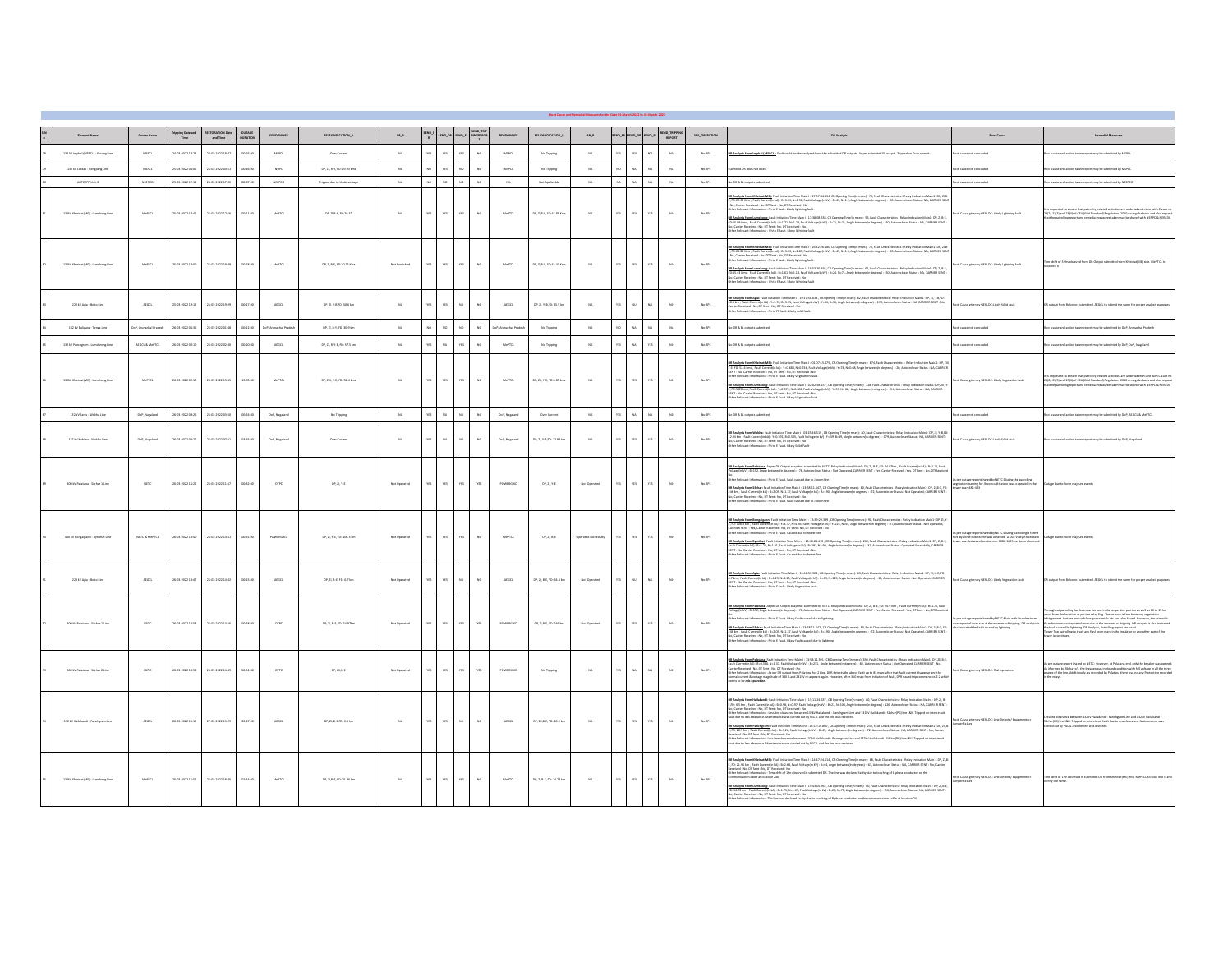| <b>Clement Nam</b>                  | Owner Name         | ripping Dute :<br>Time | and Time         | OUTAGE   | SENDOWNER           | RELAYINDICATION A           | RA            | $rac{5ENO_F}{R}$ |                | SEND_DR SEND_EL SEND_TRI       | <b>RENDOWNER</b> | RELAYINDICATION 8         | AR_B                 | <b>REND FR</b>                            |           | END_TRIPPIT<br>REPORT | SPS_OPERATION | <b>DR Analysis</b>                                                                                                                                                                                                                                                                                                                                                                                                                                                                                                                                                                                                                                                                     | <b>Root Cause</b>                                                                                                                                                                                                     | <b>Remedial Measures</b>                                                                                                                                                                                                                                                                                                                                                                                                                         |
|-------------------------------------|--------------------|------------------------|------------------|----------|---------------------|-----------------------------|---------------|------------------|----------------|--------------------------------|------------------|---------------------------|----------------------|-------------------------------------------|-----------|-----------------------|---------------|----------------------------------------------------------------------------------------------------------------------------------------------------------------------------------------------------------------------------------------------------------------------------------------------------------------------------------------------------------------------------------------------------------------------------------------------------------------------------------------------------------------------------------------------------------------------------------------------------------------------------------------------------------------------------------------|-----------------------------------------------------------------------------------------------------------------------------------------------------------------------------------------------------------------------|--------------------------------------------------------------------------------------------------------------------------------------------------------------------------------------------------------------------------------------------------------------------------------------------------------------------------------------------------------------------------------------------------------------------------------------------------|
| 132 KV Imphal (MSPCL) - Karong Line | MSPG.              | 34-03-2022 18:22       | 24-03-2022 18:47 | 02250    | MSPG.               | Over Current                | NA            |                  |                | NO                             | MSPCL            | No Tripping               | NA                   |                                           |           | NO                    | No SPS        | m imphal (MSPCL): Fault could not be analysed from the submitted DR outputs. As per submitted EL output. Tripped on Over current.                                                                                                                                                                                                                                                                                                                                                                                                                                                                                                                                                      | cause not concluded                                                                                                                                                                                                   | cause and action taken report may be submitted by MSPCL                                                                                                                                                                                                                                                                                                                                                                                          |
| 132 KV Loktak - Renegang Line       | MSPOL.             | 25-03-2022 04:05       | 25-03-2022 04:51 | 024600   | NHPC                | DP. ZL R-Y, FD: 29.93 km    | NA            |                  |                | NQ<br>NO                       | MSPG.            | No Tripping               | NA                   |                                           |           | <b>NA</b>             | No.SPS        | ted DR does not open                                                                                                                                                                                                                                                                                                                                                                                                                                                                                                                                                                                                                                                                   | ot cause not concluded                                                                                                                                                                                                | cot cause and action taken report may be submitted by MSPCL                                                                                                                                                                                                                                                                                                                                                                                      |
| AGTCCPP Unit 2                      | NEEPCO             | 25-03-2022 17:13       | 25-03-2022 17:20 | 020700   | NEEPCO              | Tripped due to Undervoltage | $_{\rm NA}$   |                  | $^{10}$<br>so. | $_{\text{NO}}$                 | $_{\rm NL}$      | Not Applicable            | NA.                  | $\overline{\mathbf{u}}$<br>$\overline{M}$ | is.       | $_{\rm NA}$           | No SPS        | o DR & EL outputs submitted                                                                                                                                                                                                                                                                                                                                                                                                                                                                                                                                                                                                                                                            | cause not concluded                                                                                                                                                                                                   | cause and action taken report may be submitted by NEEPCO                                                                                                                                                                                                                                                                                                                                                                                         |
| 132kV KhieldathMEI - Lumshone Line  | MePTCL             | 25-03-2022 17:45       | 25-03-2022 17:56 | 021100   | MePTCL              | 09.2.84.00:20.22            | NA            |                  |                | vec.<br>NO.                    | MePTCL           | 09.2.8-E. FD:15.89 Km     | NA                   | <b>YES</b>                                |           | NO                    | No.95         | <mark>t Anskristner Bhánáttálíc</mark> Fuir leitelse Tire Main i 1757-14434, Cl Queing Treate 74, Suit Chanceraisc: Répyindcelse Main (d. 20, 3,8-<br>1620-21 ben , duit Commita M. 16-10, M. 9-18, Fuir Velagrin VI; i S+0, N+1, Angle betw<br>Adadelfana, Lundang Fulk inisine Tree Mei I i 1738 dú Sit G. Queing Treylo mec): SK Fadt Chancteristic i Reip infiction Meiri- 09, 204 C<br>1538 km - Fault Comelija W): Bri 27, Int 12, Fault Voltagels W): Br21, Nr21, Angle In                                                                                                                                                                                                      | Cause given by NERLDC: Likely Lightning fault                                                                                                                                                                         | It is requested to ensure that patrolling related activities are undertaken in Line with Clause<br>23(2), 23(3) and 23(4) of CEA (Grid Standard) Regulation, 2000 on regular basis and also requ<br>t the gatrolling report and remedial measures taken may be shared with NERPC & NERLDC                                                                                                                                                        |
| 132kV Khleidat/MEI - Lumshone Line  | MePTCL             | 25-03-2022 19:00       | 25-03-2022 19:28 | 0228.00  | MePTCL              | 09.21.0-E.FD.20.25.Kms      | Not Furnished |                  |                | <b>ET</b><br>NO.               | MePTCL           | 09.2.8-6. FD:15.43 Km     | NA                   | <b>YES</b><br><b>YES</b>                  |           | NO                    | No.95         | Adauba fora MaladaWAT i vir Holmon Tree Men I : 16:03:448), Ol Opeleg Treeljn med). 30, fault Oauszterikus i Brity linkeli oli 20, 20.<br>1933 S. Rim, Fault Camedja Mij. 19:10:8, Kr. S. Saat Voltagela Vd. 16:46, Nr 15. Angle<br><mark>08 András from Lumsbang:</mark> Fault Initiation Time Main I : 18:52:26.456, CB Opening Time(n mec): 61, Fault Chanchristics: Relay Indication Maini- 09, 21, 8-6,<br>FOLSA R. One, Fault Cumrestin All, 19:41, Fault Voltage(in Nr):<br>Relevant Information : Ph to E fault. Likely lightning fault                                                                                                                                        | Cause given by NERLDC: Likely Lightning fault                                                                                                                                                                         | drift of 3)<br>into it                                                                                                                                                                                                                                                                                                                                                                                                                           |
| 220 kV Agia - Boko Line             | ALGO.              | 25-03-2022 19:1        | 25-03-2022 19:20 | 02170    | ALGO.               | 09, 21, Y-8, FD: 30.6 km    |               |                  | YES            | $\mathbf{M}$<br>$_{\text{NO}}$ | ADGO.            | DP, 21, Y-B, FD: 35.5 km  |                      | YES                                       |           | $_{\text{NO}}$        | No SPS        | <mark>tá konko film kész</mark> Fulránánan frez készi: 1913 SG ER), CA Gyerig Timplo musk. G. Fan Charadosto: Jaka Indiation Mein Jo 21, Y-8/O.<br>Sáklas, Fan Comreijokki 19130, 8-135 Fan Voltagijokki 1914, 8-76, Nejle Jenerecin digresi                                                                                                                                                                                                                                                                                                                                                                                                                                           | Cause given by NERLDC silkely Solid fault                                                                                                                                                                             | put from Boko not submitted. AEGCL to submit the same for proper analysis purpose                                                                                                                                                                                                                                                                                                                                                                |
| 132 kV Ralipara - Tenga Line        | oP, Arunachal Prac | 26-03-2022 01:30       | 26-03-2022 01:48 | 021200   | cP, Arunachal Prade | DP, 21, 8-Y, FD: 30.9 km    | NA            |                  | NO.            | NQ<br>NQ                       |                  | No Tripping               | <b>NA</b>            | $_{\text{NO}}$<br>NA                      | <b>NA</b> | NA                    | No.5PS        | .<br>No DR & EL outputs submitted                                                                                                                                                                                                                                                                                                                                                                                                                                                                                                                                                                                                                                                      | cause not conclude                                                                                                                                                                                                    | ause and action taken report may be submitted by DoP, Anunachal Prades                                                                                                                                                                                                                                                                                                                                                                           |
| 132 kV Panchgram - Lumshnong Line   | ADGEL & MePTOL     | 36-03-2022 02:10       | 26-03-2022 02:30 | 0220.00  | ADDA.               | 09.2.8-Y-E.FD: 57.5 km      | NA            |                  | NU.            | YES<br>NO.                     | MePTCL           | No Tripping               | <b>NA</b>            |                                           |           | NO.                   | No.SPS        | to DR & EL outputs submitted                                                                                                                                                                                                                                                                                                                                                                                                                                                                                                                                                                                                                                                           | cause not concluded                                                                                                                                                                                                   | cause and action taken report may be submitted by DoP, DoP, Nagaland                                                                                                                                                                                                                                                                                                                                                                             |
| 132kV Khieldat(ME) - Lumshong Line  | MePTCL             | 36-03-2022 02:1        | 26-03-2022 15:15 | 120500   | MePTCL              | DP, 2H, Y-E, FD: 52.4 km    | NA            |                  |                | NQ                             | MePTCL           | 0P, 2II, Y-E, FD: 5.85 km | <b>NA</b>            |                                           |           | NO                    | No SPS        | <mark>8 Anabels from Whielp#IME</mark> t Fault Isliation Time Main I : 0107:15.475 , CB Opening Time(in man): #74, Fault Characteristics : Relay Indication Main1-0P, 21<br>-E, FD: 52.4 kms , Fault Current(in k4) : Yri0.6Bl, Nrd.748, Faul<br>SINT: No, Carrier Received: No, DT Sent: No, DT Received: No<br>Relevant Information : Ph to E Fault. Likely Vegetation fault<br><mark>28 Anhia film Lumhas T</mark> ruk katalan Tera Masi i Ch2 54.15 . (3 Opeleg Tredy mas): 236 feat Chancisnitics : Rely indication Main-LOV 24, V<br>6. (62.86 km, Fael Cornelly-M): "Yo 275, Pro BM, Fael Videaplin V) : Yv (2, Pro). An                                                        | Cause given by NERLDC: Likely Vegetation fault                                                                                                                                                                        | nsure that patrolling related activities are undertaken in Line with Clause n<br>23(2), 23(3) and 23(4) of CEA (Grid Standard) Regulation, 2000 on regular basis and also reques<br>that the patrolling report and remedial measures taken may be shared with NERPC & NERLOC                                                                                                                                                                     |
| 132 kV Sanis - Wokha Line           | DoP, Nagaland      | 36-03-2022 03:20       | 26-03-2022 03:50 | 022400   | DoP, Nagaland       | No Tripping                 | NA            |                  | NU.            | NJ<br>NQ                       | DoP, Nagaland    | Over Current              | <b>NA</b>            | vec<br>$\overline{\mathbf{M}}$            | <b>NA</b> | NQ                    | No.5PS        | No DR & EL outputs submitted                                                                                                                                                                                                                                                                                                                                                                                                                                                                                                                                                                                                                                                           | st cause not concluded                                                                                                                                                                                                | ot cause and action taken report may be submitted by DoP, AEGCL & MePTCL                                                                                                                                                                                                                                                                                                                                                                         |
| 132 kV Kohima - Wolcha Line         | DoP, Namiand       | 36-03-2022 03:20       | 26-03-2022 07:11 | 02:45:00 | DoP, Nagaland       | Over Current                | NA            |                  |                | NO                             | DoP, Nasaland    | DP. 21 Y-8.FD: 12.94 km   | NA                   |                                           |           | NO                    | No.95         | <b>20 Analysis from Wielder,</b> Fault Initiation Time Main I : 02:25:46.549 , CA Opening Time(in meet): 03, Fault Characteristics : Reliey Indication Main.I - DP, 21, Y-4, FD<br>12.94 km , Fault Current(in 14) : Yrd.591, R=0.505,<br>, Carrier Received : No, DT Sent : No, DT Received : No<br>her Relevant Information : Ph to E Fault. Likely Solid Fault                                                                                                                                                                                                                                                                                                                      | Cause alven by NERLDC Likely Solid fault                                                                                                                                                                              | ot cause and action taken report may be submitted by DoP. Nagaland                                                                                                                                                                                                                                                                                                                                                                               |
| 400 kV Palatana - Sichar 1 Line     | NETC               | 36-03-2022 11:25       | 26-03-2022 11:57 | 003200   | otec                | 09, 21, Y-E                 | Not Operated  |                  |                | <b>YES</b>                     | POWERGRID        | 19, 2, Y-0                | Not Operated         | <b>YES</b>                                |           | $_{NO}$               | No.SPS        | <mark>sheis from Palatana:</mark> As per DR Output unapshot submitted by NETC, Relay Indication Main1- DP, 21, B-E, FD: 24.97km , Fault Cument[in kAJ : B=1.25, Fault<br>e(in kV) : B=152, Angle between(in degrees) : -78, Autorecloser Sta<br>itage(in kV) : B=152, Angle b<br>ation : Ph to E Fault. Fault caused due to Jhoom fire<br><mark>28 Anabais foor: Sichar</mark> Fault Initiation Time Main I : 12:58:11.647 , CB Opening Time(in musc): ID, Fault Characteristics : Reby Indication Main3-DP, 21,8-E, FD:<br>246 km , Fault Cunnet(in M.) = 8:42 CB, Me.127, Fault Volt<br>er Relevant Information : Ph to E Fault. Fault caused due to Jhoom fire                      | As per outage report shared by NETC: During the patrolling,<br>vegetation burning for ihoom cultivation was observed in the<br>tower span 482-483                                                                     |                                                                                                                                                                                                                                                                                                                                                                                                                                                  |
| 400 kV Bongsigson - Bymitet Line    | NETC & MePTEL      | 36-03-2022 13:4        | 26-03-2022 14:11 | 023100   | POWERGRID           | 09, 21, Y-E, FD: 106.3 km   | Not Operated  |                  |                | NQ                             | MePTCL           | $DP, 21, 0-0$             | Operated Sucessfully | YES                                       |           | NQ                    | No SPS        | DR Analysis from Bongaigace: Fault Initiation Time Main I: 13:39:29.389, CB Opening Time(in muec): 90, Fault Characteristics : Relay Indication Main1- DP, Z, Y-<br>ломпратом выдарила гова на над глав говать с в важнико, са орена ранципана, эксператом и интенсивались пользов<br>80:186.1km, Fash Cornel pluk) : YeA22, Net Jap SubVoltagijo.NV; YeZ25, Net5, Angle between(in degree) : -27, A<br><mark>Gádashú finn Brothe</mark> Freiriniúna Tran Mari i 1340-36.472 (4 Opening Tranje marý: 323 Fault Chambardon: Mari indicator Maria (20 2) 8,54<br>Fault Comedja Máj: Brit 13, 54 Official Valuegha Voj. Britis 47, Margh antwencia degr                                   | cutage report shared by NETC: During patrolling it fores<br>fore by some miscreants was observed at Ale Valey RF beneath<br>tower span between location no. 1084-1085 has been observed.                              | utage due to force majeure event                                                                                                                                                                                                                                                                                                                                                                                                                 |
| 220 kV Agia - Boko Line             | AGO.               | 36-03-2022 12:47       | 26-03-2022 14:02 | 021500   | ALCO.               | DP. 21. B-E. FD: 6.7 km     | Not Operated  |                  | YES            | NJ<br>NO.                      | ALCO.            | DP, 21, 8-E, FD: 64.4 km  | Not Operated         | <b>YES</b><br>NJ                          | NU        | NO.                   | No.SPS        | <mark>OR Analysis from Agia:</mark> Fault initiation Time Main I : 12-MES3. 624 , CB Opening Time[in musc]: 63, Fault Characteristics iRelay indication Main1-DP, 21, B-E, FD:<br>6.7 km , Fault Currențin Al): 18-ME3, Mark (1992): 19-ME4,<br>t Information : Ph to E fault. Likely Vegetation fault.                                                                                                                                                                                                                                                                                                                                                                                | ot Cause given by NERLDC: Likely Vegetation fault                                                                                                                                                                     | output from Boko not submitted. AEGCL to submit the same for proper analys                                                                                                                                                                                                                                                                                                                                                                       |
| 400 kV Palatana - Sichar 1 Line     | NETC               | 36-03-2022 12:58       | 26-03-2022 14:56 | 025800   | orpo                | 09, 21, 8-E, FD: 24.97km    | Not Operated  |                  |                | YES                            | POWERGRID        | DP, 21, 8-E, FD: 246 km   | Not Operated         | YES                                       |           | NO                    | No SPS        | .<br><u>from Paletens:</u> As per DR Output urapshot submitted by NETC, Relay Indication Main1-DP, 21, B-C, FD: 24.97km, Fault Cument(in kA) : B=1.25, Fault<br>V) : B=152, Angle between(in degrees) : -78, Autorecloser Status : Net Op<br>ige(in kV) : B=152, Angli<br>Relevant Information : Ph to E Fault. Likely fault caused dur to lightning<br><b>28 André Mars Sitau</b> r Faul Initiato Tre Main I : 1548 1467, Có Queig Treis mus). 10, Fait Chauchetics: Relay Industrie Mainl: 69, 21,8-E FD:<br>246 km : Fait Comedia M.J.: 94: 05, Km 12, Faith Voltaghis VI ; 8-106, Angle bet                                                                                        | .<br>As per outage report shared by NETC: Rain with thunderstorm<br>was reported from site at the moment of tripping. DR analysis<br>nent of tripping. DR analysis i<br>also indicated the fault caused by lightning. | portion as well as 10 to 15 km<br>investigates and location as per the relay flag. Theses area is free from any vegetation<br>away from the location as per the relay flag. Theses area is free from any vegetation<br>infringement. Further, no such foreign material<br>the fault caused by lightning. DR Analysis, Patrolling report enclosed.<br>Tower Top patrolling to track any flash over mark in the insulator or any other part of the |
| 400 kV Palatana - Sichar 2 Line     | NETC               | 26-03-2022 13:58       | 26-03-2022 14:49 | 025100   | otec                | $D9, 21, 6-6$               | Not Operate   |                  |                | <b>ZZY</b><br>YES              | POWERGRID        | No Tripping               | N                    | YES<br>$\overline{M}$                     |           | NO                    | No SPS        | sa <mark>keis from Palatana:</mark> Fault Initiation Time Main I : 12:58:11.391 , CA Opening Time(in musc): 250, Fault Characteristics : Relay Indication Main1- DP, 21,0-5 ,<br>Current[in bA] : Brd.330, Nrt.37, Fault Voltage(in W) : Br23<br>Centre Record: Te <sub>n</sub> 07 fars : No, 07 Record: No<br>Other Relevant Information : As per Dil Record: No Fars and 2-1 Line, DPR detects the above that age to BI make atter that fast current diaspear and the<br>Other Relevant Infor                                                                                                                                                                                        | Cause given by NERLDC: Mal-operation                                                                                                                                                                                  | red by NETC: However, at Palatana end, only the breaker was opene<br>er outage repor<br>As informed by Silchar s/s, the breaker was in closed condition with full voltage in all the three<br>phases of the line. Additionally, as recorded by Palatana there was no any Protection recorded<br>relays.                                                                                                                                          |
| 132 W Hallskandi - Panchgram Line   | ALGOL.             | 26-03-2022 15:12       | 27-03-2022 13:29 | 2217.0   | ALGO.               | 09, 21, 8-E, FD: 0.5 km     | NA            |                  |                | NO.                            | ALGO.            | 09, 21, 8-2, FD: 20.9 km  | NA                   |                                           |           | $_{NO}$               | No.SPS        | <mark>18 Aushalt has ikhland</mark> Trub Halden Theo Main I. St.124.617 , CB Openig Tradjomect; 40, Faul Charactelos: Jady Indianian Meini. 09, 21, 8-<br>1570 O.S.Im, Bush Camelija M.1 Goddi, Rostry, Faul Voltagen Wiy Brack, Agde Intere<br>It due to less clearance. Maintenance was carried out by PGCIL and the line was restored.<br><mark>24 Analys hem Backgroun</mark> Factivitation Tree Main I : 15:12:14.860 , C8 Opening Treefin munc) : 153, Facti Chamchettics : Rely indication Mains - DP, 20, P-<br>Referred Town Factor Haupt - The Main of the United States of the<br>It due to less clearance. Maintenance was carried out by PGCIL and the line was restored. | Cause given by NERLDC: Line Defects/ Equipment or<br>Jumper Failure                                                                                                                                                   | 122kV Hallakand - Pancheram Line and 122kV Hallakand<br>ichar(PG) line i&il. Tripped on intercircuit fault due to less clearance. Maintenance wa<br>enled out by PGCIL and the line was restored.                                                                                                                                                                                                                                                |
| 132kV Khleidat(ME) - Lumshong Line  | MePTCL             | 26-03-2022 15:51       | 26-03-2022 18:35 | 024400   | MePTCL              | 09, 21, 8-5, FD: 21.96 km   | NA            |                  |                | NQ                             | MePTCL           | 09, 2, 8-6, FD: 14.72 km  | NA                   | YES                                       |           | NO                    | No SPS        | <mark>from WhieldafMill</mark> l: Fault Isitistico Time Main I : 1617:34.614 , CB Opening Time(in mae): 68, Fault Chancteristics : Relay Indication Main1- DP, 21,8<br>km , Fault Current[in M] : Br2.68, Fault Voltage[in KV] : Br44, Angle<br><mark>28 Androis Insulause</mark> Endrastian Tera Mari : 1540 0540 , CB Operleg Toepi man; I 60, Fadt Cheschnidos : Belay Indiantios Maria 10 , 73, 84<br>Ric 1473 km, Taali Casmeljo Mj.: En 175, Nrs 26, Faat Wohgelvolt in Stage Marawell                                                                                                                                                                                           | Cause given by NERLDC: Line Defects/ Equipment or<br>mper Failure                                                                                                                                                     | se drift of 1 hr obse<br>tify the same.                                                                                                                                                                                                                                                                                                                                                                                                          |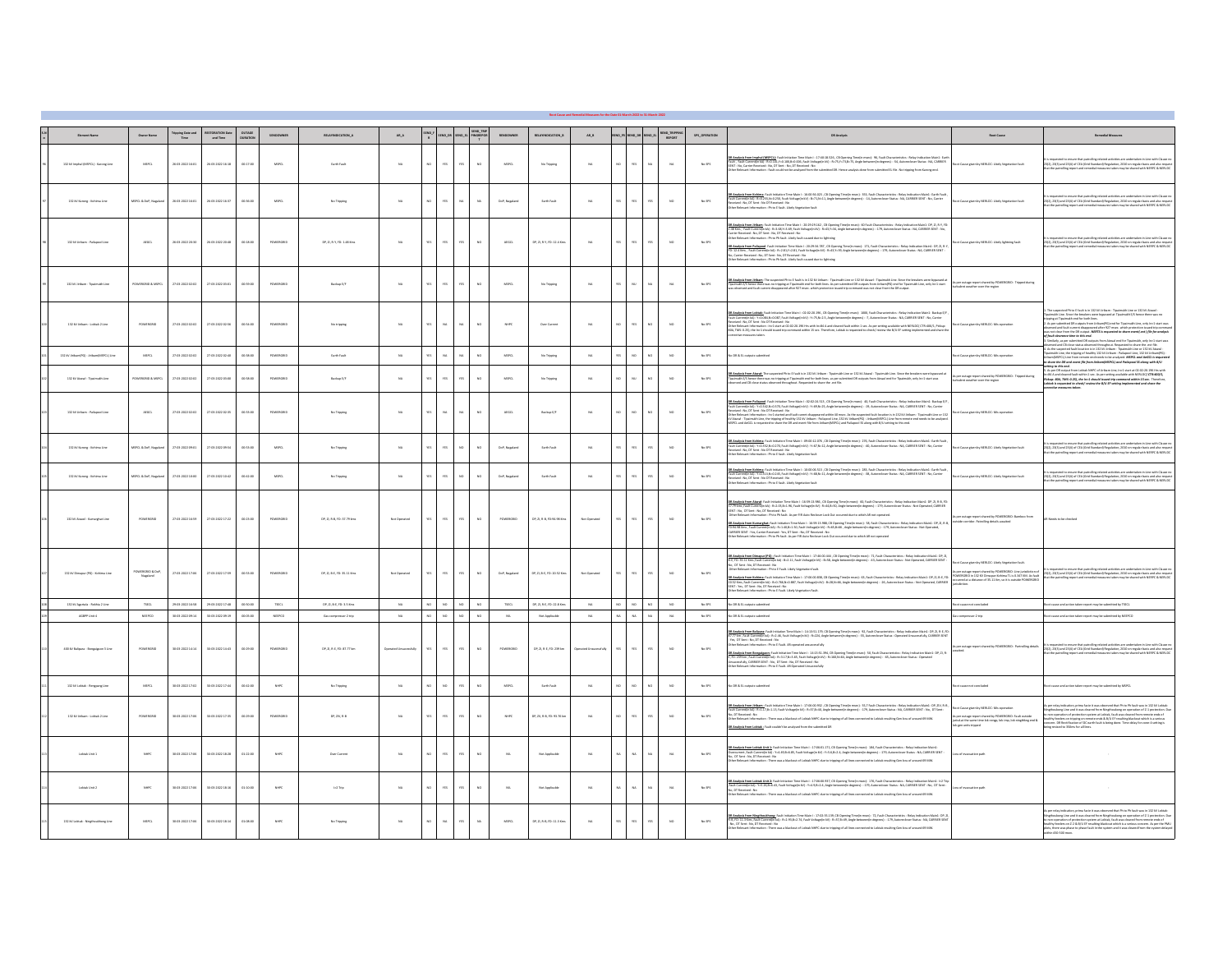|                                       |                                |                  | TORATION Date<br>and Time | OUTAGE   |           | RELAYINDICATION_A         | RA                     |                 |                   |                |               | ELAYINDICATION            | AR.B         |                |             | REND_TRIPPIN   | SPS_OPERATION | <b>DR Analysis</b>                                                                                                                                                                                                                                                                                                                                                                                                                                                                                                                                                                                                                                                                                                                                                                                                | <b>Root Cause</b>                                                                                                                                                                                                                                            |                                                                                                                                                                                                                                                                                                                                                                                                                                                                                           |
|---------------------------------------|--------------------------------|------------------|---------------------------|----------|-----------|---------------------------|------------------------|-----------------|-------------------|----------------|---------------|---------------------------|--------------|----------------|-------------|----------------|---------------|-------------------------------------------------------------------------------------------------------------------------------------------------------------------------------------------------------------------------------------------------------------------------------------------------------------------------------------------------------------------------------------------------------------------------------------------------------------------------------------------------------------------------------------------------------------------------------------------------------------------------------------------------------------------------------------------------------------------------------------------------------------------------------------------------------------------|--------------------------------------------------------------------------------------------------------------------------------------------------------------------------------------------------------------------------------------------------------------|-------------------------------------------------------------------------------------------------------------------------------------------------------------------------------------------------------------------------------------------------------------------------------------------------------------------------------------------------------------------------------------------------------------------------------------------------------------------------------------------|
| 132 kV Imphal (MSPCL) - Karong Lin    | MSPOL                          | 36-03-2022 16:01 | 06-03-2022 16:18          | 021700   | MSPCL     | <b>Carth Fault</b>        | <b>NA</b>              |                 | YES               | NO             | MSPCL         | No Tripping               | <b>NA</b>    |                |             | NA             | No SPS        | <mark>28 Audust foor braad:MAECL</mark> E out Interior Trav Mach : 17.00-18.05, CR Goncley Travin C of, Fault Chausteristics Ma<br>Fault , Faul Correspondy. Sing Of Sent Wallen County United (NS) : 673, in 2,147, August between of pright                                                                                                                                                                                                                                                                                                                                                                                                                                                                                                                                                                     | Cause given by NERLDC: Likely Vege                                                                                                                                                                                                                           | It is requested to ensure that patrolling related activities are undertaken in Line with Clause no<br>20(2), 20(3) and 23(4) of CEA (Grid Standard) Regulation, 2000 on regular basis and also request<br>that the patrolling report                                                                                                                                                                                                                                                      |
| 132 kV Karong - Kohima Line           | <b>ISPCL &amp; DoP, Nagala</b> | 26-03-2022 16:01 | 06-03-2022 16:37          | 023600   | MSPCL     | No Tripping               | NA                     |                 | NA.               |                | DoP, Nagaland | <b>Carth Fault</b>        | NA           |                |             | NQ             | No.5PS        | kaban kam Kabing Tuni Yarikar Tara Man I : 5:00:5:03 () Ci Operan Tranja mun): 35, kudi Churusmidor, Balay Indoniso Man Judy,<br>Komenja M.J. Bro 355/ko 356, kudi Vahayin W) : 5:71, kudi bersarah depan) : 14, katamciner Stata                                                                                                                                                                                                                                                                                                                                                                                                                                                                                                                                                                                 | Cause given by NERLDC: Likely Vegetation fault                                                                                                                                                                                                               | pested to ensure that patrolling related activities are undertaken in Line with Clause n<br>23(2), 23(3) and 23(4) of CEA (Grid Standard) Regulation, 2000 on regular basis and also request<br>that the patrolling report and remedial measures taken may be shared with NERPC & NERLOC                                                                                                                                                                                                  |
| 132 W Jirban - Palapool Line          | $_{\rm AGC}$                   | 26-03-2022 20:30 | 26-03-2022 20:48          | 021800   | POWERGRID | DP, 21, 8-Y, FD: 1.48 Km  | NA                     | ves             | <b>ZZV</b><br>YES | $_{\text{NO}}$ | ALGO.         | DP, 21, R-Y, FD: 12.4 Kms | <b>NA</b>    |                |             | $NO$           | No SPS        | Roshal han Alban Trai Patrion Tene Man i - 20.20 Mai - CA Guering Trepin mus): Gó Fait Chansterists: Relay Informa Manis - 69. 21.47. FS<br>Libm, Fait Comento Mai - In Clicky-1-26, Pain Vatagoth V): Rall, Yalgi saturen (in da<br>Andrhaften Raliand Fork Hollens The Main 1.23/24/387. (3 Openig Treple mus). 171, Falt Chaudintilis: Telep Informe Mais-10 21, 8-7,<br>12.4 Km, Fale Commiss Mi: 8-2.8 IV-2.81, Fale Vehaple W). (Staff volk Angle Interestin Age                                                                                                                                                                                                                                                                                                                                            | Cause given by NERLDC: Likely lightning fault                                                                                                                                                                                                                | It is requested to ensure that patrolling related activities are undertaken in Line with Clause no<br>23(2), 23(3) and 23(4) of CEA (Grid Standard) Regulation, 2000 on regular basis and also request<br>that the patrolling report                                                                                                                                                                                                                                                      |
| 132 kV Jirbam - Tipalmukh Line        | <b>OWERGRID &amp; MSPCL</b>    | 27-03-2022 02:02 | 27-03-2022 03:01          | 025900   | POWERGRID | Backup E/F                | <b>NA</b>              | YES.            | <b>YES</b><br>YES | NO.            | MSPG.         | No Tripping               | <b>NA</b>    |                | NA          | <b>NA</b>      | No.5PS        | <mark>28 Anaha's from Editem</mark> : The suspected Ph to E fault is in 132 bY Jirliam-Tipainsids Line or 132 kV Aizawi-Tipainsids Line. Since the breakers were bypassed at<br>Tipainsids V,5 Monor theor was no topige at Tipainside not fo                                                                                                                                                                                                                                                                                                                                                                                                                                                                                                                                                                     | As per outage report shared by POWERGRID: Tripped during<br>turbulent weather over the region                                                                                                                                                                |                                                                                                                                                                                                                                                                                                                                                                                                                                                                                           |
| 132 kV Jiribam - Loktak 2 Line        | POWERGRID                      | 27-03-2022 02:0  | 7-03-2022 02:54           | 025400   | POWERGRID | No tripping               | NA                     |                 | NA<br>NA.         | $NO$           |               | Over Current              | NA           |                | NO.         | NO             | No SPS        | R Analysis from Loktak: Fault Initiation Time Main I: 02:02:20.196, Oil Opening Time(in musc): 1000, Fault Characteristics : Relay Indication Main1- Backup I/F<br><b>Annumental Market (1986)</b><br>Referent plays in Galleria (2014) and the Caster of the Market Company of the Market Market (1991) and Market<br>Referent in U.S. That is to Theodoral Use (2014) and the Market of Annumental Company                                                                                                                                                                                                                                                                                                                                                                                                      | Cause given by NERLDC: Mis-operation                                                                                                                                                                                                                         | 1. The suspected Ph to E fault is in 132 kV Jirbarn - Tipainsakh Line or 132 kV Aizaud -<br>Tipainsakh Line, Since the breakers were bypassed at Tipainsakh S/S hence there was no<br>tipping at Tipainsakh end for both lines.<br>2. A<br>$2\cdot\mathcal{N}$ and a<br>shown detailed Given the interaction of the procedure of the state of the<br>state of the state of the state of the state of the state of the state<br>of the state of the state of the state of the state of the |
| 132 kV Jirban(PG) - Jirban(MSPCL) Lin | MSPO                           | 27-03-2022 02:0  | 7-03-2022 02:40           | 023800   | POWERGRID | <b>Carth Fault</b>        | $_{\rm NA}$            |                 | u.                | NO             | $MSPCL$       | No Tripping               | NA           |                | NO.         | $_{\rm NO}$    | No SPS        | bettimdus stuppes J3 & RO                                                                                                                                                                                                                                                                                                                                                                                                                                                                                                                                                                                                                                                                                                                                                                                         | .<br>Cause given by NERLDC: Mis-operation                                                                                                                                                                                                                    |                                                                                                                                                                                                                                                                                                                                                                                                                                                                                           |
| 132 kV Aizew! - Tipalmukh Line        | WERGRID & MSPC                 | 27-03-2022 02:0  | 7-03-2022 03:00           | 025800   | POWERGRID | Backup E/F                | <b>NA</b>              |                 |                   |                | MSPG.         | No Tripping               | <b>NA</b>    |                |             | NO             | No.SPS        | <mark>06 Analysis from Alzawi:</mark> The suspected Ph to 5 fault is in 122 by Writern. -Tipaimult is the 2021 W Alzawi - Tipaimului Line. Since the breakers were bypassed at<br>Tipaimulk SQ Ronce their wave or tipiped it Days and the S                                                                                                                                                                                                                                                                                                                                                                                                                                                                                                                                                                      | a per outage report shared by POWERGRID: Tripped during<br>abulent weather over the region                                                                                                                                                                   | etting to this end.<br>As per DR output from Loktak NHPC of Jirbam Line, in>1 start at 02:02:20.196 Hrs with<br>torBil A and cleared fault within 1 sec. As per setting available with NERLDC <b>( CTR-600/1,</b><br>Pickup: BBA, TMS: 0.25), the lev-1 should lassed top commond within 15 sec. Therefore<br>Loktok is requested to check/review the B/U<br>tive measures taken.                                                                                                         |
| 132 KV Jiribam - Pallapool Line       | ALGO.                          | 27-03-2022 02:02 | 27-03-2022 02:35          | 023200   | POWERGRID | No Tripping               | NA                     |                 | NA.               | NO             | ALGO.         | Backup E/F                | NA           |                | NQ          | NQ             | No.5PS        | Anaheir from Pallapool: Fault initiation Time Main I : 02:02:04:513 , CR Opening Time(i) -mec) - 40, Fault Chamsteristics : Relay Indication Main1 - Backup E/F<br>At Correction Main II : 2004 The Sandt Wintegraph MJ : Yrelit/<br>at Corrella-Najir (h. 2013/41:27), Fair Wilsons or) : Treaprus, egge bitterrepressioner en controllant in the U<br>Animet Jan, Of Sett Jas 17 Anched: No and Annot degeneral with a Granz-Anno and Mark Lockholm in David Himmer<br>                                                                                                                                                                                                                                                                                                                                         | Cause given by NERLDC: Mis-operation                                                                                                                                                                                                                         |                                                                                                                                                                                                                                                                                                                                                                                                                                                                                           |
| 132 W Karong - Kohima Lin             | SPCL & DoP, Nagal              | 27-03-2022 09:   | 7-03-2022 09:54           | 025300   | MSPCL     | No Tripping               | <b>NA</b>              |                 |                   | NO             | DoP, Nagaland | <b>Carth Fault</b>        | <b>NA</b>    |                |             | $_{\text{no}}$ | No.5PS        | Anahal fora Babiar, Futbriance Tree Main I. 19:00: 10%, CA Opening Treejo muc): 235, foot Chracteristics Hein/odcotion Main. Earth Fault,<br>E.CommiglieAd I "10.322,M-0.205, Faul Voltage)n W) : YvC/X-12, Angle betweenin degre                                                                                                                                                                                                                                                                                                                                                                                                                                                                                                                                                                                 | Cause given by NERLDC: Likely Vegetation fault                                                                                                                                                                                                               | quested to ensure that patrolling related activities are undertaken in Line with Claus<br>(2), 23(3) and 23(4) of CEA (Grid Standard) Regulation, 2000 on regular basis and also reque<br>it the patrolling report and remedial measures taken may be shared with NERPC & NERLOC                                                                                                                                                                                                          |
| 132 W Karong - Kohima Lin             | .<br>SPCL & DoP, Nagal         | 27-03-2022 10:00 | 7-03-2022 10:42           | 024200   | MPG.      | No Tripping               | <b>NA</b>              |                 |                   |                | DoP, Nasaland | <b>Carth Fault</b>        | <b>NA</b>    |                |             | $_{\text{NO}}$ | No.95         | <mark>18 Aught (han Behirg</mark> Farbinismo Twe Main) : 19 00:06 513 , CB Opening Tranjin man): 3E3, Fast Characteristics Harb Fadestine Main Larch Fault ,<br>Fast Corresponds : You 312 km 245, Fast Voltage IVI ; "You Aven, Park and th                                                                                                                                                                                                                                                                                                                                                                                                                                                                                                                                                                      | .<br>Cause given by NERLDC: Likely Vegetation fault                                                                                                                                                                                                          | t is respended to ensure that patrolling related activities are undertaken in Line with Clause no<br>1929, 20(3) and 23(4) of CEA (Grid Standard) Regulation, 2000 on regular basis and also respense<br>hat the patrolling report a                                                                                                                                                                                                                                                      |
| 132 kV Airpud - Kumanshat Line        | POWERGRID                      | 27-03-2022 16:59 | 27-03-2022 17:22          | 022200   | POWERGRID | 07.2.8-8.FD: 37.79 km     | Not Operated           |                 | <b>YES</b>        | NO.            | POWERGRID     | DP. 2. R-9. FD:94.98 Km   | Not Operated |                | vec.        | NQ             | No SPS        | <mark>18 Audio Euro Juan</mark> Pan Hariana Trav Man I : 689 1386 , CB Opering Trank mach 45 Fark Chambraids: Rely Informa Maria 19:2, 26 R, 10;<br>37.79 May Juan Comentistiki; N=2.05.8=1.56 Fark Voltagil on II : 648/52./velop Interneti<br><b>Scheider für Kampfe, Fra</b> i Nation Treesse und von understand auch AL od operatio.<br>Größliche, <i>inn Gemein bei 1944 in der Wagen bis 1944 geformen, 14 in An understand von der Scheider für Gemei<br/>Größliche, inn Gemein bis 19</i>                                                                                                                                                                                                                                                                                                                 |                                                                                                                                                                                                                                                              | <b>March to he checked</b>                                                                                                                                                                                                                                                                                                                                                                                                                                                                |
| 132 kV Dimapur (PG) - Kohima Lin      | OWERGRID & DoP<br>Nagaland     | 27-03-2022 17:06 | 27-03-2022 17:59          | 025200   | POWERGRID | 09, 2, 8-1, FD: 35.11 Kms | Not Operated           | YES             | vrs<br>YES        | $_{\rm NO}$    | DoP, Nagaland | 0P, 2l, 8-6, FD: 20.52 Km | Not Operated |                |             | $NO$           | No SFS        | <mark>i Anahsi fora Grazer (PG</mark> ): Fast Initaton Time Main : 17:06:00.644 , CB Opening Time(in mec): 71, Fast Chanctenitics : Relay Indication Main1-09, 21,<br>E, FC: S.1.1 Drs: Fast Corres(Ink): Br2.11, Fast Voltage(in Vs) : Br58,<br>ser Relevant Information : Ph to E Fault. Likely Vegetation fault.<br>Her Relevant Information : Ph to E Fault. Likely Vegetation fault.<br><mark>Lhodník from Esbéna:</mark> Fault Initorius Tree Main I : 17 06:00.103, CA Opening Treejin muc): 43, Fault Characteríus i Mainj Indication Mainis 09, 71, 8-4, FD:<br>53 Fan, Fand Cremetich și Enclused IV.<br>ter Thénast Information :                                                                                                                                                                      | ause aiven by NERLDC: Likely Veastation fault.<br>is per outage report shared by POWERGRID: Line jurisdiction of<br>OWERGRID in 122 KV Dimapur-Kohima TL is 0.347 KM. As fault<br>scrurred at a distance of 35.11 Km, so it is outside POWERGRID<br>diction. | t is responsted to ensure that patrolling related activities are undertaken in Line with Clause r<br>19(2), 23(2) and 23(4) of CEA (Grid Standard) Regulation, 3000 on regular basis and also reque<br>hat the patrolling report and                                                                                                                                                                                                                                                      |
| 132 kV Agertela - Rokhia 2 Line       | rsen                           | 29-03-2022 16:58 | 29-03-2022 17:48          | 025000   | TSECL     | 09.21.8-E.FD: 3.5 Km      | NA                     | NO              | $\omega$<br>NO.   | NQ             | TSECL         | 09.2.8 6.50:22.8 to       | <b>NA</b>    | $_{\text{NO}}$ | NO.         | NO             | No.95         | bettimdur students & & & o                                                                                                                                                                                                                                                                                                                                                                                                                                                                                                                                                                                                                                                                                                                                                                                        | oot cause not concluded                                                                                                                                                                                                                                      | loot cause and action taken report may be submitted by TSECL                                                                                                                                                                                                                                                                                                                                                                                                                              |
| AGBPP Unit 4                          | NEEPCO                         | 30-03-2022 09:14 | 30-03-2022 09:19          | 020500   | NEEPCO    | Gas compressor-2 trip     | NA                     | $\overline{M}$  |                   | <b>NO</b>      | $_{\rm NL}$   | Not Applicable            | NA           | $\overline{M}$ | $_{\rm NA}$ | <b>NA</b>      | No.SPS        | bettimdur students & & & o                                                                                                                                                                                                                                                                                                                                                                                                                                                                                                                                                                                                                                                                                                                                                                                        | compressor-2 trip                                                                                                                                                                                                                                            | loot cause and action taken report may be submitted by NEEPCO                                                                                                                                                                                                                                                                                                                                                                                                                             |
| 400 kV Ballpara - Bongaigeon 3 Lin    | POWERGRIE                      | 30-03-2022 14:14 | 3503-2022 14:42           | 022900   | POWERGRID | 09, 21, 84, 50; 82.77 km  | Operated Unsucessfully | YES             | YES<br>vrs        | $_{\rm NO}$    | POWERGRID     | 0P, 2i, R-E, FD: 239 km   | perated Unsu |                |             | NQ             | No SPS        | <mark>m Balkarzy</mark> Fault Initiation Time Main I : 14:12:51.179, CB Opening Timeljn musc): 92, Fault Characteristics : Relay Indication Main1-DP, 21, 9-E, R<br>CEamed(II bH) : Rr2.46, Fault Voltage(in NV): Rr224, Angle between(in de<br>7.77 km , Fault Current(in kA) : R=2.4<br>fes, DT Sent : No, DT Received : No<br>Relevant Information : Ph to E Fault. AR operated unsuccessfully<br>.<br>R. Analysis from Bongalgaen: Fault Initiation Time Main I : 14:12:51.394, CB Opening Time (in musc): 50, Fault Characteristics : Relay Indication Main1- DP, Zi, R-<br>линалими мандардык «Уластанатал» тайтылат. 2-кылы 2-метропедиясынын колдонулган суда кыргызсынын жана менен жа<br>228 km, Faalt Cameraja Maj : Read: 17/01-185, Faadt Valtagelis My : Reida), rede, Regie between(independent Sa | 's per outage report shared by POWERGRID: Partrolling details<br>waited.                                                                                                                                                                                     | it is requested to ensure that patrolling related activities are undertaken in Line with Clause n<br>20(2), 20(3) and 22(4) of CEA (Grid Standard) Regulation, 2000 on regular basis and also request<br>that the catrolline recort                                                                                                                                                                                                                                                       |
| 132 KV Loktak - Renggang Line         | MSPOL                          | 30-03-2022 17:0  | 03-03-2022 17:44          | 024200   | MHC       | No Tripping               | NA                     |                 | YES               | NO             | MSPO.         | <b>Carth Fault</b>        | NA           |                |             | NO             | No SPS        | bettindus stuppes J3 & FO                                                                                                                                                                                                                                                                                                                                                                                                                                                                                                                                                                                                                                                                                                                                                                                         | cause not concluded                                                                                                                                                                                                                                          | t cause and action taken report may be submitted by MSPCL                                                                                                                                                                                                                                                                                                                                                                                                                                 |
| 132 kV Jiribam - Loktak 2 Line        | POWERGRIE                      | 30-03-2022 17:0  | 0503-2022 17:35           | 0229.0   | POWERGRID | 09, 2V, 8-8               | <b>NA</b>              | $\overline{MS}$ | <b>YES</b>        | $NO$           | NHK           | 09, 21, 9-8, FD: 93.76 kr | <b>NA</b>    |                |             | NO             | No SPS        | <mark>l Anhalı fan Aldan (</mark> -kul Holmino Tre Maloi (-19 06:03), Ca Openig Treelg F.C. Dan Causterinter: Help indesto Mal<br>alt Carenjin M.J. alt 17,0-11,1,6-alt Volageln VI) i 4:37,0-40, Anje beneemin depen (-11), Anjonemin Sahar<br>nalysis from Loktak : Fault couldn't be analysed from the submitted DR                                                                                                                                                                                                                                                                                                                                                                                                                                                                                            | Cause given by NERLDC: Mis-operation<br>As per outage report shared by POWERGRID: Fault outside<br>Jurisd at the same time lok-rengo, lok-imp, lok-ningthlog end &<br>lok-gen units tripped                                                                  | As per relay indication, prima facie it was observed that Ph to Ph fault was in 132 kV Loktak-<br>Ninghoulderg Line and fix was deserved from Kinghoulderg do nogention of 2-1 protection. Of a<br>ha non-operation of protection sy<br>ne revised to 350ms for all lines.                                                                                                                                                                                                                |
| Loldak Unit 1                         | NHPC                           | 30-03-2022 17:00 | 80-03-2022 18:28          | 01:22:00 | NHPC      | Over Current              | <b>NA</b>              | NO <sub>1</sub> | <b>ZZY</b>        | NO.            | <b>NIL</b>    | Not Applicable            | <b>NA</b>    |                |             | <b>NA</b>      | No.SPS        | a <mark>bais from Loktak Unit (:</mark> Fault Initiation Time Main I : 17:06:01.171, CA Opening Time(in maes): 184, Fault Characteristics : Relay Indication Main1-<br>arrest Fault Currest[n bA] : Yrel 40,0nd 85, Fault Voltage[n b3] : Yrd<br>a, DT Sent: No, DT Received: No<br>the Relevant Information : There was a blackout of Loktak NHPC due to tripping of all lines connected to Loktak resulting Gen loss of around 69 MW.                                                                                                                                                                                                                                                                                                                                                                           | of evacuation path                                                                                                                                                                                                                                           |                                                                                                                                                                                                                                                                                                                                                                                                                                                                                           |
| Loldak Unit 2                         | NHPC                           | 30-03-2022 17:06 | 30-03-2022 18:16          | 01:10:00 | NHPC      | b2Trip                    | <b>NA</b>              | NO <sub>1</sub> | YES               | NO.            | NR.           | Not Applicable            | <b>NA</b>    |                | NA.         | <b>NA</b>      | No.SPS        | .<br><mark>Analysis from Loktak Unit 2:</mark> Fault Initiation Time Main I : 17:06:00:927, CA Opening Time(in manc):  176, Fault Characteristics : Relay Indication Main1-I>2 Trip<br>It Current(in Ixi) : Yris 26,Rris 43, Fault Voltage(in I<br>витьленным муссомерования составляется .<br>В ОТ Весекее!: No<br>ther Relevant Information : There was a blackeut of Loktak NHPC due to tripping of all lines connected to Loktak resulting Gen loss of around 69 MW.                                                                                                                                                                                                                                                                                                                                          | ou of evacuation path                                                                                                                                                                                                                                        |                                                                                                                                                                                                                                                                                                                                                                                                                                                                                           |
| 132 W Loktak - Ningthoukhong Line     | MSPGL                          | 30-03-2022 17:00 | 35-03-2022 18:14          | 01:08:00 | NHPC      | No Tripping               | <b>NA</b>              |                 | YES               | NA             | MSPO.         | 09, 21, 8-8, FD: 11.3 Km  | <b>NA</b>    |                |             | $NO$           | No SPS        | <mark>28 Aubid: form Marthashear,</mark> Fait inition The Man I 17:02:51:36, O Gyorig Truyin may 70, Said Currannica: Hay Indonesia Man 2014<br>8.4, 20 I 1.1 Um José Carnelly My : 8:2:31:8:21, Saat Voltagels My : 8:22,8:48, Augh beweept                                                                                                                                                                                                                                                                                                                                                                                                                                                                                                                                                                      |                                                                                                                                                                                                                                                              | As per relay indication, prima facie it was observed that Ph to Ph fault was in 122 KV is<br>determined the seal s was consert from Waypholong se operation of 2.1 protection. Depending the seal search par<br>headily feeders on                                                                                                                                                                                                                                                        |